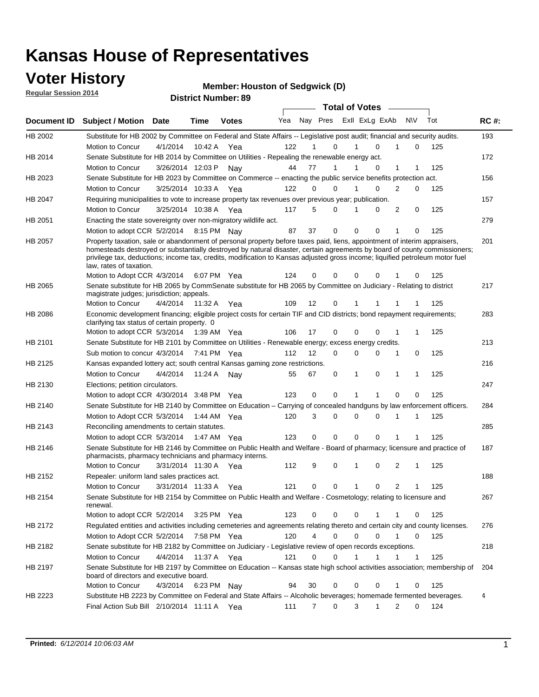### **Voter History**

**Regular Session 2014**

#### **Member: Houston of Sedgwick (D)**

|             |                                                                                                                                                                                                                                                                                                                                                                                                                  |                       |             | <b>DISTING MAILINGL.09</b> |     |    |                         | <b>Total of Votes</b> |              |                |              |     |             |
|-------------|------------------------------------------------------------------------------------------------------------------------------------------------------------------------------------------------------------------------------------------------------------------------------------------------------------------------------------------------------------------------------------------------------------------|-----------------------|-------------|----------------------------|-----|----|-------------------------|-----------------------|--------------|----------------|--------------|-----|-------------|
| Document ID | <b>Subject / Motion</b>                                                                                                                                                                                                                                                                                                                                                                                          | Date                  | Time        | <b>Votes</b>               | Yea |    | Nay Pres Exll ExLg ExAb |                       |              | <b>NV</b>      |              | Tot | <b>RC#:</b> |
| HB 2002     | Substitute for HB 2002 by Committee on Federal and State Affairs -- Legislative post audit; financial and security audits.                                                                                                                                                                                                                                                                                       |                       |             |                            |     |    |                         |                       |              |                |              |     | 193         |
|             | Motion to Concur                                                                                                                                                                                                                                                                                                                                                                                                 | 4/1/2014              | 10:42 A     | Yea                        | 122 |    | 0                       |                       | $\Omega$     |                | 0            | 125 |             |
| HB 2014     | Senate Substitute for HB 2014 by Committee on Utilities - Repealing the renewable energy act.                                                                                                                                                                                                                                                                                                                    |                       |             |                            |     |    |                         |                       |              |                |              |     | 172         |
|             | Motion to Concur                                                                                                                                                                                                                                                                                                                                                                                                 | 3/26/2014 12:03 P Nay |             |                            | 44  | 77 | 1                       |                       | 0            | 1              | 1            | 125 |             |
| HB 2023     | Senate Substitute for HB 2023 by Committee on Commerce -- enacting the public service benefits protection act.                                                                                                                                                                                                                                                                                                   |                       |             |                            |     |    |                         |                       |              |                |              |     | 156         |
|             | Motion to Concur                                                                                                                                                                                                                                                                                                                                                                                                 | 3/25/2014 10:33 A Yea |             |                            | 122 |    | 0<br>0                  | 1                     | 0            | 2              | 0            | 125 |             |
| HB 2047     | Requiring municipalities to vote to increase property tax revenues over previous year; publication.                                                                                                                                                                                                                                                                                                              |                       |             |                            |     |    |                         |                       |              |                |              |     | 157         |
|             | Motion to Concur                                                                                                                                                                                                                                                                                                                                                                                                 | 3/25/2014 10:38 A Yea |             |                            | 117 |    | 5<br>0                  |                       | 0            | 2              | 0            | 125 |             |
| HB 2051     | Enacting the state sovereignty over non-migratory wildlife act.                                                                                                                                                                                                                                                                                                                                                  |                       |             |                            |     |    |                         |                       |              |                |              |     | 279         |
|             | Motion to adopt CCR 5/2/2014 8:15 PM Nay                                                                                                                                                                                                                                                                                                                                                                         |                       |             |                            | 87  | 37 | $\mathbf 0$             | $\mathbf 0$           | 0            | 1              | 0            | 125 |             |
| HB 2057     | Property taxation, sale or abandonment of personal property before taxes paid, liens, appointment of interim appraisers,<br>homesteads destroyed or substantially destroyed by natural disaster, certain agreements by board of county commissioners;<br>privilege tax, deductions; income tax, credits, modification to Kansas adjusted gross income; liquified petroleum motor fuel<br>law, rates of taxation. |                       |             |                            |     |    |                         |                       |              |                |              |     | 201         |
|             | Motion to Adopt CCR 4/3/2014                                                                                                                                                                                                                                                                                                                                                                                     |                       |             | 6:07 PM Yea                | 124 |    | 0<br>0                  | $\mathbf 0$           | 0            |                | 0            | 125 |             |
| HB 2065     | Senate substitute for HB 2065 by CommSenate substitute for HB 2065 by Committee on Judiciary - Relating to district<br>magistrate judges; jurisdiction; appeals.                                                                                                                                                                                                                                                 |                       |             |                            |     |    |                         |                       |              |                |              |     | 217         |
|             | <b>Motion to Concur</b>                                                                                                                                                                                                                                                                                                                                                                                          | 4/4/2014              | 11:32 A     | Yea                        | 109 | 12 | 0                       | 1                     |              |                |              | 125 |             |
| HB 2086     | Economic development financing; eligible project costs for certain TIF and CID districts; bond repayment requirements;<br>clarifying tax status of certain property. 0                                                                                                                                                                                                                                           |                       |             |                            |     |    |                         |                       |              |                |              |     | 283         |
|             | Motion to adopt CCR 5/3/2014                                                                                                                                                                                                                                                                                                                                                                                     |                       | 1:39 AM Yea |                            | 106 | 17 | 0                       | $\mathbf 0$           | $\Omega$     | 1              | 1            | 125 |             |
| HB 2101     | Senate Substitute for HB 2101 by Committee on Utilities - Renewable energy; excess energy credits.                                                                                                                                                                                                                                                                                                               |                       |             |                            |     |    |                         |                       |              |                |              |     | 213         |
|             | Sub motion to concur 4/3/2014                                                                                                                                                                                                                                                                                                                                                                                    |                       |             | 7:41 PM Yea                | 112 | 12 | 0                       | $\mathbf 0$           | $\mathbf 0$  | 1              | 0            | 125 |             |
| HB 2125     | Kansas expanded lottery act; south central Kansas gaming zone restrictions.                                                                                                                                                                                                                                                                                                                                      |                       |             |                            |     |    |                         |                       |              |                |              |     | 216         |
|             | Motion to Concur                                                                                                                                                                                                                                                                                                                                                                                                 | 4/4/2014              | 11:24 A     | Nav                        | 55  | 67 | 0                       | 1                     | 0            | 1              | 1            | 125 |             |
| HB 2130     | Elections; petition circulators.                                                                                                                                                                                                                                                                                                                                                                                 |                       |             |                            |     |    |                         |                       |              |                |              |     | 247         |
|             | Motion to adopt CCR 4/30/2014 3:48 PM Yea                                                                                                                                                                                                                                                                                                                                                                        |                       |             |                            | 123 |    | 0<br>0                  |                       |              | $\Omega$       | 0            | 125 |             |
| HB 2140     | Senate Substitute for HB 2140 by Committee on Education – Carrying of concealed handguns by law enforcement officers.                                                                                                                                                                                                                                                                                            |                       |             |                            |     |    |                         |                       |              |                |              |     | 284         |
|             | Motion to Adopt CCR 5/3/2014                                                                                                                                                                                                                                                                                                                                                                                     |                       |             | 1:44 AM Yea                | 120 |    | 3<br>0                  | $\mathbf 0$           | $\mathbf 0$  | 1              | 1            | 125 |             |
| HB 2143     | Reconciling amendments to certain statutes.                                                                                                                                                                                                                                                                                                                                                                      |                       |             |                            |     |    |                         |                       |              |                |              |     | 285         |
|             | Motion to adopt CCR 5/3/2014                                                                                                                                                                                                                                                                                                                                                                                     |                       | 1:47 AM Yea |                            | 123 |    | 0<br>0                  | $\mathbf 0$           | $\mathbf 0$  | 1              | 1            | 125 |             |
| HB 2146     | Senate Substitute for HB 2146 by Committee on Public Health and Welfare - Board of pharmacy; licensure and practice of<br>pharmacists, pharmacy technicians and pharmacy interns.                                                                                                                                                                                                                                |                       |             |                            |     |    |                         |                       |              |                |              |     | 187         |
|             | Motion to Concur                                                                                                                                                                                                                                                                                                                                                                                                 | 3/31/2014 11:30 A     |             | Yea                        | 112 |    | 9<br>0                  | 1                     | 0            | 2              | 1            | 125 |             |
| HB 2152     | Repealer: uniform land sales practices act.                                                                                                                                                                                                                                                                                                                                                                      |                       |             |                            |     |    |                         |                       |              |                |              |     | 188         |
|             | Motion to Concur                                                                                                                                                                                                                                                                                                                                                                                                 | 3/31/2014 11:33 A     |             | Yea                        | 121 |    | 0<br>0                  | 1                     | 0            | $\overline{2}$ | 1            | 125 |             |
| HB 2154     | Senate Substitute for HB 2154 by Committee on Public Health and Welfare - Cosmetology; relating to licensure and<br>renewal.                                                                                                                                                                                                                                                                                     |                       |             |                            |     |    |                         |                       |              |                |              |     | 267         |
|             | Motion to adopt CCR 5/2/2014                                                                                                                                                                                                                                                                                                                                                                                     |                       |             | 3:25 PM Yea                | 123 |    | 0<br>0                  | 0                     | 1            | 1              | 0            | 125 |             |
| HB 2172     | Regulated entities and activities including cemeteries and agreements relating thereto and certain city and county licenses.                                                                                                                                                                                                                                                                                     |                       |             |                            |     |    |                         |                       |              |                |              |     | 276         |
|             | Motion to Adopt CCR 5/2/2014                                                                                                                                                                                                                                                                                                                                                                                     |                       |             | 7:58 PM Yea                | 120 |    | 4<br>$\mathbf 0$        | $\mathbf 0$           | $\Omega$     | $\mathbf{1}$   | $\mathbf 0$  | 125 |             |
| HB 2182     | Senate substitute for HB 2182 by Committee on Judiciary - Legislative review of open records exceptions.                                                                                                                                                                                                                                                                                                         |                       |             |                            |     |    |                         |                       |              |                |              |     | 218         |
|             | Motion to Concur                                                                                                                                                                                                                                                                                                                                                                                                 | 4/4/2014              | 11:37 A Yea |                            | 121 |    | 0<br>$\mathbf 0$        | 1                     | $\mathbf{1}$ | 1              | $\mathbf{1}$ | 125 |             |
| HB 2197     | Senate Substitute for HB 2197 by Committee on Education -- Kansas state high school activities association; membership of                                                                                                                                                                                                                                                                                        |                       |             |                            |     |    |                         |                       |              |                |              |     | 204         |
|             | board of directors and executive board.                                                                                                                                                                                                                                                                                                                                                                          |                       |             |                            |     |    |                         |                       |              |                |              |     |             |
|             | Motion to Concur                                                                                                                                                                                                                                                                                                                                                                                                 | 4/3/2014              |             | 6:23 PM Nay                | 94  | 30 | 0                       | 0                     | 0            | 1              | 0            | 125 |             |
| HB 2223     | Substitute HB 2223 by Committee on Federal and State Affairs -- Alcoholic beverages; homemade fermented beverages.<br>Final Action Sub Bill 2/10/2014 11:11 A Yea                                                                                                                                                                                                                                                |                       |             |                            | 111 |    | 0<br>7                  | 3                     | 1            | 2              | 0            | 124 | 4           |
|             |                                                                                                                                                                                                                                                                                                                                                                                                                  |                       |             |                            |     |    |                         |                       |              |                |              |     |             |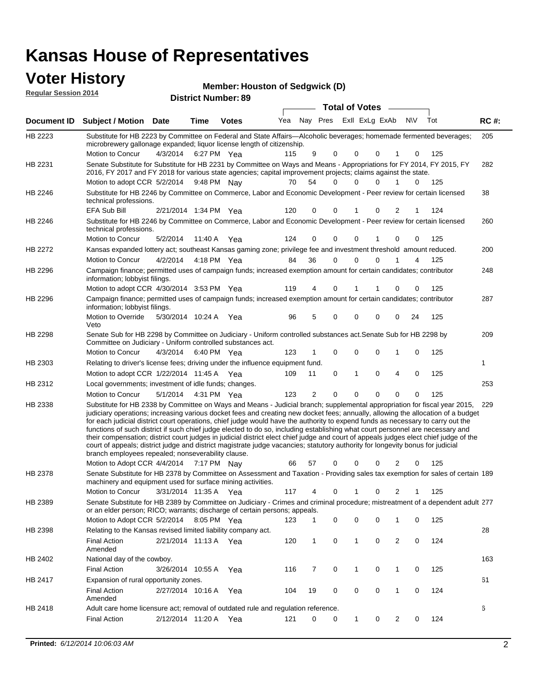#### **Voter History**

| <b>Voter History</b><br><b>Regular Session 2014</b> |                              |      | <b>District Number: 89</b> | <b>Member: Houston of Sedgwick (D)</b> |  |  |                                 |     |             |
|-----------------------------------------------------|------------------------------|------|----------------------------|----------------------------------------|--|--|---------------------------------|-----|-------------|
|                                                     |                              |      |                            |                                        |  |  | <b>Total of Votes</b>           |     |             |
|                                                     | Document ID Subject / Motion | Date | Time                       | <b>Votes</b>                           |  |  | Yea Nay Pres ExII ExLg ExAb N\V | Tot | <b>RC#:</b> |

| Document ID | Subject / Motion Date                                                                                                                                                                                                                                                                                                                                                                                                                                                                                                                                                                                                                                                                                                                                                                                                                                                                                           |                       | <b>Time</b> | <b>votes</b> |     |    | Tea Nay Fies Lall Laly Land |             |              |             |                |          |     | <b>KG#:</b> |
|-------------|-----------------------------------------------------------------------------------------------------------------------------------------------------------------------------------------------------------------------------------------------------------------------------------------------------------------------------------------------------------------------------------------------------------------------------------------------------------------------------------------------------------------------------------------------------------------------------------------------------------------------------------------------------------------------------------------------------------------------------------------------------------------------------------------------------------------------------------------------------------------------------------------------------------------|-----------------------|-------------|--------------|-----|----|-----------------------------|-------------|--------------|-------------|----------------|----------|-----|-------------|
| HB 2223     | Substitute for HB 2223 by Committee on Federal and State Affairs—Alcoholic beverages; homemade fermented beverages;<br>microbrewery gallonage expanded; liquor license length of citizenship.<br>Motion to Concur                                                                                                                                                                                                                                                                                                                                                                                                                                                                                                                                                                                                                                                                                               | 4/3/2014              | 6:27 PM Yea |              | 115 |    | 9                           | 0           | $\Omega$     | 0           | 1              | 0        | 125 | 205         |
| HB 2231     | Senate Substitute for Substitute for HB 2231 by Committee on Ways and Means - Appropriations for FY 2014, FY 2015, FY                                                                                                                                                                                                                                                                                                                                                                                                                                                                                                                                                                                                                                                                                                                                                                                           |                       |             |              |     |    |                             |             |              |             |                |          |     | 282         |
|             | 2016, FY 2017 and FY 2018 for various state agencies; capital improvement projects; claims against the state.<br>Motion to adopt CCR 5/2/2014 9:48 PM Nay                                                                                                                                                                                                                                                                                                                                                                                                                                                                                                                                                                                                                                                                                                                                                       |                       |             |              | 70  | 54 |                             | $\Omega$    | $\Omega$     | 0           | $\mathbf{1}$   | 0        | 125 |             |
| HB 2246     | Substitute for HB 2246 by Committee on Commerce, Labor and Economic Development - Peer review for certain licensed<br>technical professions.                                                                                                                                                                                                                                                                                                                                                                                                                                                                                                                                                                                                                                                                                                                                                                    |                       |             |              |     |    |                             |             |              |             |                |          |     | 38          |
|             | EFA Sub Bill                                                                                                                                                                                                                                                                                                                                                                                                                                                                                                                                                                                                                                                                                                                                                                                                                                                                                                    | 2/21/2014 1:34 PM Yea |             |              | 120 |    | 0                           | 0           | -1           | 0           | 2              | 1        | 124 |             |
| HB 2246     | Substitute for HB 2246 by Committee on Commerce, Labor and Economic Development - Peer review for certain licensed<br>technical professions.                                                                                                                                                                                                                                                                                                                                                                                                                                                                                                                                                                                                                                                                                                                                                                    |                       |             |              |     |    |                             |             |              |             |                |          |     | 260         |
|             | Motion to Concur                                                                                                                                                                                                                                                                                                                                                                                                                                                                                                                                                                                                                                                                                                                                                                                                                                                                                                | 5/2/2014              | 11:40 A Yea |              | 124 |    | 0                           | 0           | $\Omega$     |             | 0              | 0        | 125 |             |
| HB 2272     | Kansas expanded lottery act; southeast Kansas gaming zone; privilege fee and investment threshold amount reduced.                                                                                                                                                                                                                                                                                                                                                                                                                                                                                                                                                                                                                                                                                                                                                                                               |                       |             |              |     |    |                             |             |              |             |                |          |     | 200         |
|             | <b>Motion to Concur</b>                                                                                                                                                                                                                                                                                                                                                                                                                                                                                                                                                                                                                                                                                                                                                                                                                                                                                         | 4/2/2014              | 4:18 PM Yea |              | 84  | 36 |                             | 0           | 0            | 0           |                | 4        | 125 |             |
| HB 2296     | Campaign finance; permitted uses of campaign funds; increased exemption amount for certain candidates; contributor<br>information; lobbyist filings.                                                                                                                                                                                                                                                                                                                                                                                                                                                                                                                                                                                                                                                                                                                                                            |                       |             |              |     |    |                             |             |              |             |                |          |     | 248         |
|             | Motion to adopt CCR 4/30/2014 3:53 PM Yea                                                                                                                                                                                                                                                                                                                                                                                                                                                                                                                                                                                                                                                                                                                                                                                                                                                                       |                       |             |              | 119 |    | 4                           | 0           |              |             | 0              | 0        | 125 |             |
| HB 2296     | Campaign finance; permitted uses of campaign funds; increased exemption amount for certain candidates; contributor<br>information; lobbyist filings.                                                                                                                                                                                                                                                                                                                                                                                                                                                                                                                                                                                                                                                                                                                                                            |                       |             |              |     |    |                             |             |              |             |                |          |     | 287         |
|             | Motion to Override<br>Veto                                                                                                                                                                                                                                                                                                                                                                                                                                                                                                                                                                                                                                                                                                                                                                                                                                                                                      | 5/30/2014 10:24 A Yea |             |              | 96  |    | 5                           | 0           | $\Omega$     | 0           | 0              | 24       | 125 |             |
| HB 2298     | Senate Sub for HB 2298 by Committee on Judiciary - Uniform controlled substances act. Senate Sub for HB 2298 by<br>Committee on Judiciary - Uniform controlled substances act.                                                                                                                                                                                                                                                                                                                                                                                                                                                                                                                                                                                                                                                                                                                                  |                       |             |              |     |    |                             |             |              |             |                |          |     | 209         |
|             | Motion to Concur                                                                                                                                                                                                                                                                                                                                                                                                                                                                                                                                                                                                                                                                                                                                                                                                                                                                                                | 4/3/2014              | 6:40 PM Yea |              | 123 |    | 1                           | 0           | 0            | 0           | 1              | 0        | 125 |             |
| HB 2303     | Relating to driver's license fees; driving under the influence equipment fund.                                                                                                                                                                                                                                                                                                                                                                                                                                                                                                                                                                                                                                                                                                                                                                                                                                  |                       |             |              |     |    |                             |             |              |             |                |          |     | 1           |
|             | Motion to adopt CCR 1/22/2014 11:45 A Yea                                                                                                                                                                                                                                                                                                                                                                                                                                                                                                                                                                                                                                                                                                                                                                                                                                                                       |                       |             |              | 109 | 11 |                             | 0           | 1            | 0           | 4              | 0        | 125 |             |
| HB 2312     | Local governments; investment of idle funds; changes.                                                                                                                                                                                                                                                                                                                                                                                                                                                                                                                                                                                                                                                                                                                                                                                                                                                           |                       |             |              |     |    |                             |             |              |             |                |          |     | 253         |
|             | Motion to Concur                                                                                                                                                                                                                                                                                                                                                                                                                                                                                                                                                                                                                                                                                                                                                                                                                                                                                                | 5/1/2014              | 4:31 PM Yea |              | 123 |    | $\overline{2}$              | $\mathbf 0$ | $\mathbf 0$  | $\Omega$    | 0              | 0        | 125 |             |
| HB 2338     | Substitute for HB 2338 by Committee on Ways and Means - Judicial branch; supplemental appropriation for fiscal year 2015,<br>judiciary operations; increasing various docket fees and creating new docket fees; annually, allowing the allocation of a budget<br>for each judicial district court operations, chief judge would have the authority to expend funds as necessary to carry out the<br>functions of such district if such chief judge elected to do so, including establishing what court personnel are necessary and<br>their compensation; district court judges in judicial district elect chief judge and court of appeals judges elect chief judge of the<br>court of appeals; district judge and district magistrate judge vacancies; statutory authority for longevity bonus for judicial<br>branch employees repealed; nonseverability clause.<br>Motion to Adopt CCR 4/4/2014 7:17 PM Nay |                       |             |              | 66  | 57 |                             | 0           | 0            | $\Omega$    | $\overline{2}$ | $\Omega$ | 125 | 229         |
| HB 2378     | Senate Substitute for HB 2378 by Committee on Assessment and Taxation - Providing sales tax exemption for sales of certain 189<br>machinery and equipment used for surface mining activities.                                                                                                                                                                                                                                                                                                                                                                                                                                                                                                                                                                                                                                                                                                                   |                       |             |              |     |    |                             |             |              |             |                |          |     |             |
|             | Motion to Concur                                                                                                                                                                                                                                                                                                                                                                                                                                                                                                                                                                                                                                                                                                                                                                                                                                                                                                | 3/31/2014 11:35 A Yea |             |              | 117 |    | 4                           | 0           |              | 0           | 2              |          | 125 |             |
| HB 2389     | Senate Substitute for HB 2389 by Committee on Judiciary - Crimes and criminal procedure; mistreatment of a dependent adult 277<br>or an elder person; RICO; warrants; discharge of certain persons; appeals.                                                                                                                                                                                                                                                                                                                                                                                                                                                                                                                                                                                                                                                                                                    |                       |             |              |     |    |                             |             |              |             |                |          |     |             |
|             | Motion to Adopt CCR 5/2/2014 8:05 PM Yea                                                                                                                                                                                                                                                                                                                                                                                                                                                                                                                                                                                                                                                                                                                                                                                                                                                                        |                       |             |              | 123 |    | 1                           | 0           | 0            | 0           | 1              | 0        | 125 |             |
| HB 2398     | Relating to the Kansas revised limited liability company act.                                                                                                                                                                                                                                                                                                                                                                                                                                                                                                                                                                                                                                                                                                                                                                                                                                                   |                       |             |              |     |    |                             |             |              |             |                |          |     | 28          |
|             | <b>Final Action</b><br>Amended                                                                                                                                                                                                                                                                                                                                                                                                                                                                                                                                                                                                                                                                                                                                                                                                                                                                                  | 2/21/2014 11:13 A Yea |             |              | 120 |    | $\mathbf{1}$                | 0           | 1            | $\mathbf 0$ | $\overline{2}$ | 0        | 124 |             |
| HB 2402     | National day of the cowboy.                                                                                                                                                                                                                                                                                                                                                                                                                                                                                                                                                                                                                                                                                                                                                                                                                                                                                     |                       |             |              |     |    |                             |             |              |             |                |          |     | 163         |
|             | <b>Final Action</b>                                                                                                                                                                                                                                                                                                                                                                                                                                                                                                                                                                                                                                                                                                                                                                                                                                                                                             | 3/26/2014 10:55 A Yea |             |              | 116 |    | 7                           | $\mathbf 0$ | $\mathbf{1}$ | 0           | 1              | 0        | 125 |             |
| HB 2417     | Expansion of rural opportunity zones.                                                                                                                                                                                                                                                                                                                                                                                                                                                                                                                                                                                                                                                                                                                                                                                                                                                                           |                       |             |              |     |    |                             |             |              |             |                |          |     | 61          |
|             | <b>Final Action</b><br>Amended                                                                                                                                                                                                                                                                                                                                                                                                                                                                                                                                                                                                                                                                                                                                                                                                                                                                                  | 2/27/2014 10:16 A Yea |             |              | 104 | 19 |                             | 0           | 0            | 0           | $\mathbf{1}$   | 0        | 124 |             |
| HB 2418     | Adult care home licensure act; removal of outdated rule and regulation reference.                                                                                                                                                                                                                                                                                                                                                                                                                                                                                                                                                                                                                                                                                                                                                                                                                               |                       |             |              |     |    |                             |             |              |             |                |          |     | 6           |
|             | <b>Final Action</b>                                                                                                                                                                                                                                                                                                                                                                                                                                                                                                                                                                                                                                                                                                                                                                                                                                                                                             | 2/12/2014 11:20 A Yea |             |              | 121 |    | 0                           | 0           | $\mathbf{1}$ | 0           | $\overline{2}$ | 0        | 124 |             |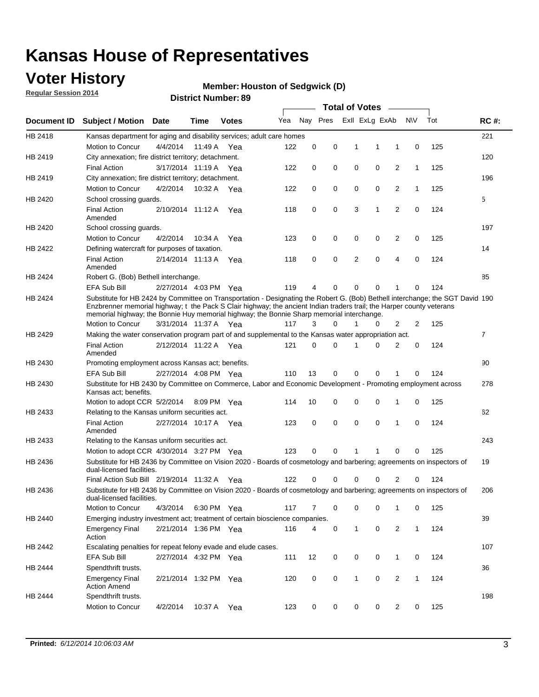## **Voter History**

**Regular Session 2014**

#### **Member: Houston of Sedgwick (D)**

|                    |                                                                                                                                                                                                                                                                                                                                                      |                       |             | <b>DISTRICT MAILINGL'S</b> |     |          |          |              | Total of Votes –        |                |              |     |                |
|--------------------|------------------------------------------------------------------------------------------------------------------------------------------------------------------------------------------------------------------------------------------------------------------------------------------------------------------------------------------------------|-----------------------|-------------|----------------------------|-----|----------|----------|--------------|-------------------------|----------------|--------------|-----|----------------|
| <b>Document ID</b> | <b>Subject / Motion</b>                                                                                                                                                                                                                                                                                                                              | Date                  | Time        | <b>Votes</b>               | Yea |          |          |              | Nay Pres ExII ExLg ExAb |                | <b>NV</b>    | Tot | <b>RC#:</b>    |
| HB 2418            | Kansas department for aging and disability services; adult care homes                                                                                                                                                                                                                                                                                |                       |             |                            |     |          |          |              |                         |                |              |     | 221            |
|                    | Motion to Concur                                                                                                                                                                                                                                                                                                                                     | 4/4/2014              | 11:49 A     | Yea                        | 122 | 0        | 0        | 1            | 1                       | 1              | 0            | 125 |                |
| HB 2419            | City annexation; fire district territory; detachment.                                                                                                                                                                                                                                                                                                |                       |             |                            |     |          |          |              |                         |                |              |     | 120            |
|                    | <b>Final Action</b>                                                                                                                                                                                                                                                                                                                                  | 3/17/2014 11:19 A     |             | Yea                        | 122 | 0        | 0        | 0            | 0                       | 2              | 1            | 125 |                |
| HB 2419            | City annexation; fire district territory; detachment.                                                                                                                                                                                                                                                                                                |                       |             |                            |     |          |          |              |                         |                |              |     | 196            |
|                    | Motion to Concur                                                                                                                                                                                                                                                                                                                                     | 4/2/2014              | 10:32 A     | Yea                        | 122 | 0        | 0        | 0            | 0                       | 2              | $\mathbf{1}$ | 125 |                |
| HB 2420            | School crossing guards.                                                                                                                                                                                                                                                                                                                              |                       |             |                            |     |          |          |              |                         |                |              |     | 5              |
|                    | <b>Final Action</b><br>Amended                                                                                                                                                                                                                                                                                                                       | 2/10/2014 11:12 A     |             | Yea                        | 118 | 0        | 0        | 3            | 1                       | $\overline{2}$ | 0            | 124 |                |
| HB 2420            | School crossing guards.                                                                                                                                                                                                                                                                                                                              |                       |             |                            |     |          |          |              |                         |                |              |     | 197            |
|                    | Motion to Concur                                                                                                                                                                                                                                                                                                                                     | 4/2/2014              | 10:34 A     | Yea                        | 123 | 0        | 0        | 0            | 0                       | 2              | 0            | 125 |                |
| HB 2422            | Defining watercraft for purposes of taxation.                                                                                                                                                                                                                                                                                                        |                       |             |                            |     |          |          |              |                         |                |              |     | 14             |
|                    | <b>Final Action</b><br>Amended                                                                                                                                                                                                                                                                                                                       | 2/14/2014 11:13 A     |             | Yea                        | 118 | 0        | 0        | 2            | 0                       | 4              | 0            | 124 |                |
| HB 2424            | Robert G. (Bob) Bethell interchange.                                                                                                                                                                                                                                                                                                                 |                       |             |                            |     |          |          |              |                         |                |              |     | 85             |
|                    | <b>EFA Sub Bill</b>                                                                                                                                                                                                                                                                                                                                  | 2/27/2014 4:03 PM Yea |             |                            | 119 | 4        | 0        | 0            | 0                       | 1              | 0            | 124 |                |
| HB 2424            | Substitute for HB 2424 by Committee on Transportation - Designating the Robert G. (Bob) Bethell interchange; the SGT David 190<br>Enzbrenner memorial highway; t the Pack S Clair highway; the ancient Indian traders trail; the Harper county veterans<br>memorial highway; the Bonnie Huy memorial highway; the Bonnie Sharp memorial interchange. |                       |             |                            |     |          |          |              |                         |                |              |     |                |
|                    | Motion to Concur                                                                                                                                                                                                                                                                                                                                     | 3/31/2014 11:37 A Yea |             |                            | 117 | 3        | $\Omega$ | 1            | 0                       | 2              | 2            | 125 |                |
| HB 2429            | Making the water conservation program part of and supplemental to the Kansas water appropriation act.                                                                                                                                                                                                                                                |                       |             |                            |     |          |          |              |                         |                |              |     | $\overline{7}$ |
|                    | <b>Final Action</b><br>Amended                                                                                                                                                                                                                                                                                                                       | 2/12/2014 11:22 A Yea |             |                            | 121 | $\Omega$ | 0        | 1            | 0                       | 2              | 0            | 124 |                |
| HB 2430            | Promoting employment across Kansas act; benefits.                                                                                                                                                                                                                                                                                                    |                       |             |                            |     |          |          |              |                         |                |              |     | 90             |
|                    | <b>EFA Sub Bill</b>                                                                                                                                                                                                                                                                                                                                  | 2/27/2014 4:08 PM Yea |             |                            | 110 | 13       | 0        | 0            | 0                       |                | 0            | 124 |                |
| HB 2430            | Substitute for HB 2430 by Committee on Commerce, Labor and Economic Development - Promoting employment across<br>Kansas act; benefits.                                                                                                                                                                                                               |                       |             |                            |     |          |          |              |                         |                |              |     | 278            |
|                    | Motion to adopt CCR 5/2/2014                                                                                                                                                                                                                                                                                                                         |                       | 8:09 PM Yea |                            | 114 | 10       | 0        | 0            | 0                       | 1              | 0            | 125 |                |
| HB 2433            | Relating to the Kansas uniform securities act.                                                                                                                                                                                                                                                                                                       |                       |             |                            |     |          |          |              |                         |                |              |     | 62             |
|                    | <b>Final Action</b><br>Amended                                                                                                                                                                                                                                                                                                                       | 2/27/2014 10:17 A Yea |             |                            | 123 | 0        | 0        | $\mathbf 0$  | 0                       | 1              | $\mathbf 0$  | 124 |                |
| HB 2433            | Relating to the Kansas uniform securities act.                                                                                                                                                                                                                                                                                                       |                       |             |                            |     |          |          |              |                         |                |              |     | 243            |
|                    | Motion to adopt CCR 4/30/2014 3:27 PM Yea                                                                                                                                                                                                                                                                                                            |                       |             |                            | 123 | $\Omega$ | $\Omega$ | 1            | 1                       | 0              | 0            | 125 |                |
| HB 2436            | Substitute for HB 2436 by Committee on Vision 2020 - Boards of cosmetology and barbering; agreements on inspectors of<br>dual-licensed facilities.                                                                                                                                                                                                   |                       |             |                            |     |          |          |              |                         |                |              |     | 19             |
|                    | Final Action Sub Bill 2/19/2014 11:32 A                                                                                                                                                                                                                                                                                                              |                       |             | Yea                        | 122 |          | 0        | 0            | 0                       | 2              | 0            | 124 |                |
| HB 2436            | Substitute for HB 2436 by Committee on Vision 2020 - Boards of cosmetology and barbering; agreements on inspectors of<br>dual-licensed facilities.                                                                                                                                                                                                   |                       |             |                            |     |          |          |              |                         |                |              |     | 206            |
|                    | Motion to Concur                                                                                                                                                                                                                                                                                                                                     | 4/3/2014              | 6:30 PM Yea |                            | 117 | 7        | 0        | 0            | 0                       | 1              | 0            | 125 |                |
| HB 2440            | Emerging industry investment act; treatment of certain bioscience companies.                                                                                                                                                                                                                                                                         |                       |             |                            |     |          |          |              |                         |                |              |     | 39             |
|                    | <b>Emergency Final</b><br>Action                                                                                                                                                                                                                                                                                                                     | 2/21/2014 1:36 PM Yea |             |                            | 116 | 4        | 0        | 1            | $\mathsf 0$             | $\overline{2}$ | $\mathbf{1}$ | 124 |                |
| HB 2442            | Escalating penalties for repeat felony evade and elude cases.                                                                                                                                                                                                                                                                                        |                       |             |                            |     |          |          |              |                         |                |              |     | 107            |
|                    | EFA Sub Bill                                                                                                                                                                                                                                                                                                                                         | 2/27/2014 4:32 PM Yea |             |                            | 111 | 12       | 0        | 0            | 0                       | $\mathbf{1}$   | 0            | 124 |                |
| HB 2444            | Spendthrift trusts.                                                                                                                                                                                                                                                                                                                                  |                       |             |                            |     |          |          |              |                         |                |              |     | 36             |
|                    | <b>Emergency Final</b><br><b>Action Amend</b>                                                                                                                                                                                                                                                                                                        | 2/21/2014 1:32 PM Yea |             |                            | 120 | 0        | 0        | $\mathbf{1}$ | 0                       | $\overline{c}$ | $\mathbf{1}$ | 124 |                |
| HB 2444            | Spendthrift trusts.                                                                                                                                                                                                                                                                                                                                  |                       |             |                            |     |          |          |              |                         |                |              |     | 198            |
|                    | Motion to Concur                                                                                                                                                                                                                                                                                                                                     | 4/2/2014              | 10:37 A Yea |                            | 123 | 0        | 0        | 0            | 0                       | $\overline{2}$ | 0            | 125 |                |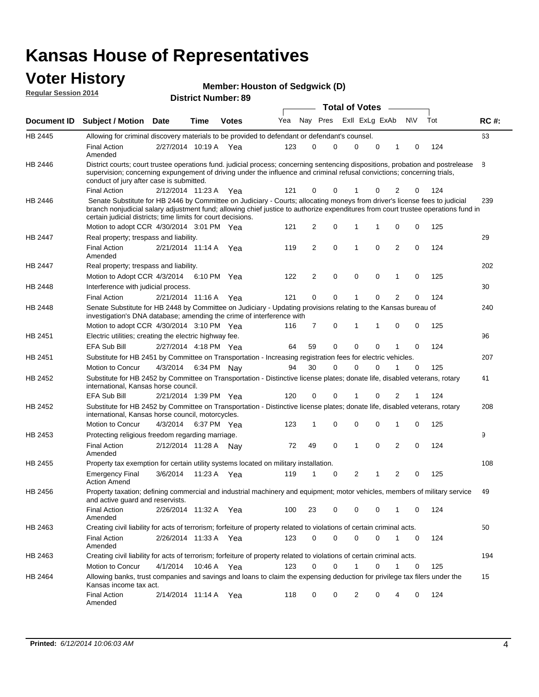### **Voter History**

| <b>Member: Houston of Sedgwick (D)</b> |  |  |
|----------------------------------------|--|--|
|----------------------------------------|--|--|

**Document ID Subject / Motion Date Time Votes** Yea Nay Pres ExII ExLg ExAb N\V Tot RC #: **District Number: 89 Date Votes Total of Votes Time Regular Session 2014** ExII ExLg ExAb 63 2/27/2014 Final Action Yea 124 10:19 A 123 0 0 0 10 0 HB 2445 Amended Allowing for criminal discovery materials to be provided to defendant or defendant's counsel. 8 2/12/2014 Final Action Yea 124 11:23 A 121 0 0 0 20 1 HB 2446 District courts; court trustee operations fund. judicial process; concerning sentencing dispositions, probation and postrelease supervision; concerning expungement of driving under the influence and criminal refusal convictions; concerning trials, conduct of jury after case is submitted. 239 Motion to adopt CCR 4/30/2014 3:01 PM Yea  $121 \quad 2 \quad 0 \quad 1 \quad 1 \quad 0 \quad 0 \quad 125$ HB 2446 Senate Substitute for HB 2446 by Committee on Judiciary - Courts; allocating moneys from driver's license fees to judicial branch nonjudicial salary adjustment fund; allowing chief justice to authorize expenditures from court trustee operations fund in certain judicial districts; time limits for court decisions. 29 2/21/2014 Final Action Yea 124 11:14 A 119 2 0 0 20 1 HB 2447 Amended Real property; trespass and liability. 202 Motion to Adopt CCR 4/3/2014 6:10 PM Yea  $122$  2 0 0 0 1 0 125 HB 2447 Real property; trespass and liability. 30 2/21/2014 Final Action Yea 124 HB 2448 Interference with judicial process. 11:16 A 121 0 0 0 20 1 240 Motion to adopt CCR 4/30/2014 3:10 PM Yea  $116$  7 0 1 1 0 0 125 HB 2448 Senate Substitute for HB 2448 by Committee on Judiciary - Updating provisions relating to the Kansas bureau of investigation's DNA database; amending the crime of interference with 96 2/27/2014 EFA Sub Bill Yea 124 4:18 PM 64 59 0 0 10 0 HB 2451 Electric utilities; creating the electric highway fee. 207 4/3/2014 HB 2451 Motion to Concur 4/3/2014 6:34 PM Nay 94 30 0 0 1 0 125 Substitute for HB 2451 by Committee on Transportation - Increasing registration fees for electric vehicles. 41 2/21/2014 EFA Sub Bill Yea 124 1:39 PM 120 0 0 0 21 1 HB 2452 Substitute for HB 2452 by Committee on Transportation - Distinctive license plates; donate life, disabled veterans, rotary international, Kansas horse council. 208 4/3/2014 Motion to Concur Yea 125 6:37 PM 123 1 0 0 10 0 HB 2452 Substitute for HB 2452 by Committee on Transportation - Distinctive license plates; donate life, disabled veterans, rotary international, Kansas horse council, motorcycles. 9 Final Action 2/12/2014 11:28 A Nay 72 49 0 1 0 2 0 124 HB 2453 Amended Protecting religious freedom regarding marriage. 108 3/6/2014 HB 2455 Emergency Final Yea 125 11:23 A 119 1 1 0 20 2 Action Amend Property tax exemption for certain utility systems located on military installation. 49 2/26/2014 Final Action Yea 124 11:32 A 100 23 0 0 10 0 HB 2456 Amended Property taxation; defining commercial and industrial machinery and equipment; motor vehicles, members of military service and active guard and reservists. 50 2/26/2014 Final Action Yea 124 11:33 A 123 0 0 0 10 0 HB 2463 Amended Creating civil liability for acts of terrorism; forfeiture of property related to violations of certain criminal acts. 194 4/1/2014 HB 2463 Motion to Concur 4/1/2014 10:46 A Yea 123 0 0 1 0 1 0 125 Creating civil liability for acts of terrorism; forfeiture of property related to violations of certain criminal acts. 10:46 A 15 2/14/2014 Final Action Yea 124 11:14 A 118 0 0 0 40 2 HB 2464 Amended Allowing banks, trust companies and savings and loans to claim the expensing deduction for privilege tax filers under the Kansas income tax act.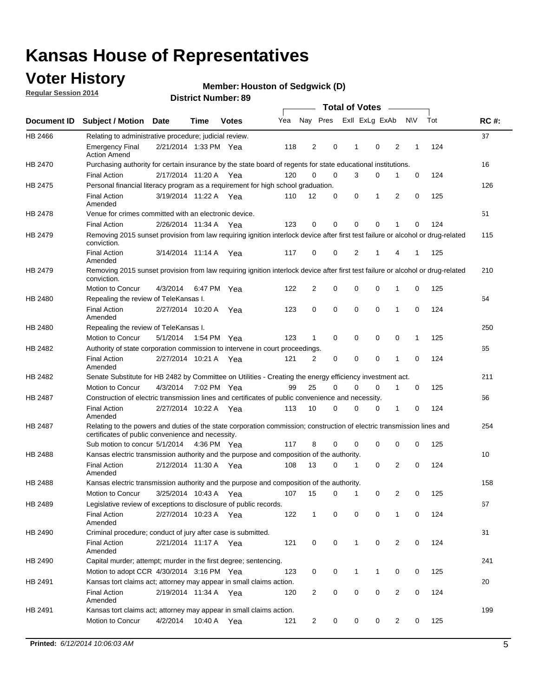## **Voter History**

**Regular Session 2014**

#### **Member: Houston of Sedgwick (D)**

|                    |                                                                                                                                                                             |                       |         |              |     |                |          | <b>Total of Votes</b> |             |                         |             |     |             |
|--------------------|-----------------------------------------------------------------------------------------------------------------------------------------------------------------------------|-----------------------|---------|--------------|-----|----------------|----------|-----------------------|-------------|-------------------------|-------------|-----|-------------|
| <b>Document ID</b> | <b>Subject / Motion</b>                                                                                                                                                     | <b>Date</b>           | Time    | <b>Votes</b> | Yea | Nay Pres       |          | Exll ExLg ExAb        |             |                         | <b>NV</b>   | Tot | <b>RC#:</b> |
| HB 2466            | Relating to administrative procedure; judicial review.                                                                                                                      |                       |         |              |     |                |          |                       |             |                         |             |     | 37          |
|                    | <b>Emergency Final</b><br><b>Action Amend</b>                                                                                                                               | 2/21/2014 1:33 PM Yea |         |              | 118 | 2              | 0        | 1                     | 0           | 2                       | 1           | 124 |             |
| <b>HB 2470</b>     | Purchasing authority for certain insurance by the state board of regents for state educational institutions.                                                                |                       |         |              |     |                |          |                       |             |                         |             |     | 16          |
|                    | <b>Final Action</b>                                                                                                                                                         | 2/17/2014 11:20 A Yea |         |              | 120 | 0              | 0        | 3                     | 0           | 1                       | 0           | 124 |             |
| HB 2475            | Personal financial literacy program as a requirement for high school graduation.                                                                                            |                       |         |              |     |                |          |                       |             |                         |             |     | 126         |
|                    | <b>Final Action</b><br>Amended                                                                                                                                              | 3/19/2014 11:22 A Yea |         |              | 110 | 12             | 0        | 0                     | 1           | 2                       | 0           | 125 |             |
| HB 2478            | Venue for crimes committed with an electronic device.                                                                                                                       |                       |         |              |     |                |          |                       |             |                         |             |     | 51          |
|                    | <b>Final Action</b>                                                                                                                                                         | 2/26/2014 11:34 A     |         | Yea          | 123 | 0              | 0        | $\mathbf 0$           | 0           | 1                       | 0           | 124 |             |
| HB 2479            | Removing 2015 sunset provision from law requiring ignition interlock device after first test failure or alcohol or drug-related<br>conviction.                              |                       |         |              |     |                |          |                       |             |                         |             |     | 115         |
|                    | <b>Final Action</b><br>Amended                                                                                                                                              | 3/14/2014 11:14 A     |         | Yea          | 117 | 0              | 0        | 2                     | 1           | 4                       | 1           | 125 |             |
| HB 2479            | Removing 2015 sunset provision from law requiring ignition interlock device after first test failure or alcohol or drug-related<br>conviction.                              |                       |         |              |     |                |          |                       |             |                         |             |     | 210         |
|                    | Motion to Concur                                                                                                                                                            | 4/3/2014              |         | 6:47 PM Yea  | 122 | $\overline{2}$ | 0        | $\mathbf 0$           | $\mathbf 0$ | 1                       | 0           | 125 |             |
| HB 2480            | Repealing the review of TeleKansas I.                                                                                                                                       |                       |         |              |     |                |          |                       |             |                         |             |     | 64          |
|                    | <b>Final Action</b><br>Amended                                                                                                                                              | 2/27/2014 10:20 A     |         | Yea          | 123 | 0              | 0        | $\mathbf 0$           | $\mathbf 0$ | 1                       | $\mathbf 0$ | 124 |             |
| HB 2480            | Repealing the review of TeleKansas I.                                                                                                                                       |                       |         |              |     |                |          |                       |             |                         |             |     | 250         |
|                    | Motion to Concur                                                                                                                                                            | 5/1/2014              |         | 1:54 PM Yea  | 123 | 1              | 0        | 0                     | 0           | 0                       | 1           | 125 |             |
| HB 2482            | Authority of state corporation commission to intervene in court proceedings.                                                                                                |                       |         |              |     |                |          |                       |             |                         |             |     | 65          |
|                    | <b>Final Action</b><br>Amended                                                                                                                                              | 2/27/2014 10:21 A     |         | Yea          | 121 | 2              | 0        | $\mathbf 0$           | $\mathbf 0$ | 1                       | $\mathbf 0$ | 124 |             |
| HB 2482            | Senate Substitute for HB 2482 by Committee on Utilities - Creating the energy efficiency investment act.                                                                    |                       |         |              |     |                |          |                       |             |                         |             |     | 211         |
|                    | Motion to Concur                                                                                                                                                            | 4/3/2014 7:02 PM Yea  |         |              | 99  | 25             | $\Omega$ | 0                     | 0           | 1                       | 0           | 125 |             |
| HB 2487            | Construction of electric transmission lines and certificates of public convenience and necessity.                                                                           |                       |         |              |     |                |          |                       |             |                         |             |     | 66          |
|                    | <b>Final Action</b><br>Amended                                                                                                                                              | 2/27/2014 10:22 A     |         | Yea          | 113 | 10             | 0        | 0                     | 0           | 1                       | 0           | 124 |             |
| HB 2487            | Relating to the powers and duties of the state corporation commission; construction of electric transmission lines and<br>certificates of public convenience and necessity. |                       |         |              |     |                |          |                       |             |                         |             |     | 254         |
|                    | Sub motion to concur 5/1/2014 4:36 PM Yea                                                                                                                                   |                       |         |              | 117 | 8              | 0        | 0                     | 0           | 0                       | 0           | 125 |             |
| HB 2488            | Kansas electric transmission authority and the purpose and composition of the authority.                                                                                    |                       |         |              |     |                |          |                       |             |                         |             |     | 10          |
|                    | <b>Final Action</b><br>Amended                                                                                                                                              | 2/12/2014 11:30 A     |         | Yea          | 108 | 13             | 0        | 1                     | $\mathbf 0$ | 2                       | 0           | 124 |             |
| <b>HB 2488</b>     | Kansas electric transmission authority and the purpose and composition of the authority.                                                                                    |                       |         |              |     |                |          |                       |             |                         |             |     | 158         |
|                    | Motion to Concur                                                                                                                                                            | 3/25/2014 10:43 A     |         | Yea          | 107 | 15             | 0        | 1                     | 0           | 2                       | 0           | 125 |             |
| HB 2489            | Legislative review of exceptions to disclosure of public records.                                                                                                           |                       |         |              |     |                |          |                       |             |                         |             |     | 67          |
|                    | <b>Final Action</b><br>Amended                                                                                                                                              | 2/27/2014 10:23 A Yea |         |              | 122 | $\mathbf 1$    | 0        | 0                     | 0           | 1                       | 0           | 124 |             |
| HB 2490            | Criminal procedure; conduct of jury after case is submitted.                                                                                                                |                       |         |              |     |                |          |                       |             |                         |             |     | 31          |
|                    | <b>Final Action</b><br>Amended                                                                                                                                              | 2/21/2014 11:17 A Yea |         |              | 121 | 0              | 0        | 1                     | $\mathbf 0$ | 2                       | 0           | 124 |             |
| HB 2490            | Capital murder; attempt; murder in the first degree; sentencing.                                                                                                            |                       |         |              |     |                |          |                       |             |                         |             |     | 241         |
|                    | Motion to adopt CCR 4/30/2014 3:16 PM Yea                                                                                                                                   |                       |         |              | 123 | 0              | 0        | 1                     | 1           | 0                       | 0           | 125 |             |
| HB 2491            | Kansas tort claims act; attorney may appear in small claims action.                                                                                                         |                       |         |              |     |                |          |                       |             |                         |             |     | 20          |
|                    | <b>Final Action</b><br>Amended                                                                                                                                              | 2/19/2014 11:34 A Yea |         |              | 120 | $\overline{2}$ | 0        | 0                     | 0           | $\overline{\mathbf{c}}$ | 0           | 124 |             |
| HB 2491            | Kansas tort claims act; attorney may appear in small claims action.                                                                                                         |                       |         |              |     |                |          |                       |             |                         |             |     | 199         |
|                    | Motion to Concur                                                                                                                                                            | 4/2/2014              | 10:40 A | Yea          | 121 | $\overline{2}$ | 0        | 0                     | 0           | $\overline{2}$          | 0           | 125 |             |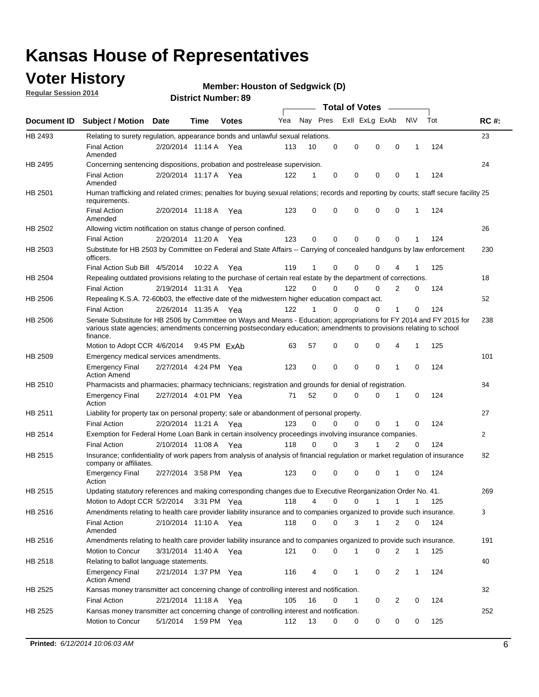## **Voter History**

**Regular Session 2014**

#### **Member: Houston of Sedgwick (D)**

|             |                                                                                                                                                                                                                                                        |                       |              | <b>DISTRICT MAILINGL'S</b> |     |          |             | Total of Votes –        |                |             |     |              |
|-------------|--------------------------------------------------------------------------------------------------------------------------------------------------------------------------------------------------------------------------------------------------------|-----------------------|--------------|----------------------------|-----|----------|-------------|-------------------------|----------------|-------------|-----|--------------|
| Document ID | <b>Subject / Motion Date</b>                                                                                                                                                                                                                           |                       | Time         | <b>Votes</b>               | Yea | Nay Pres |             | Exll ExLg ExAb          |                | N\V         | Tot | <b>RC#:</b>  |
| HB 2493     | Relating to surety regulation, appearance bonds and unlawful sexual relations.                                                                                                                                                                         |                       |              |                            |     |          |             |                         |                |             |     | 23           |
|             | <b>Final Action</b><br>Amended                                                                                                                                                                                                                         | 2/20/2014 11:14 A Yea |              |                            | 113 | 10       | $\mathbf 0$ | 0<br>$\mathbf 0$        | $\mathbf 0$    | 1           | 124 |              |
| HB 2495     | Concerning sentencing dispositions, probation and postrelease supervision.                                                                                                                                                                             |                       |              |                            |     |          |             |                         |                |             |     | 24           |
|             | <b>Final Action</b><br>Amended                                                                                                                                                                                                                         | 2/20/2014 11:17 A     |              | Yea                        | 122 | 1        | $\mathbf 0$ | 0<br>0                  | 0              | 1           | 124 |              |
| HB 2501     | Human trafficking and related crimes; penalties for buying sexual relations; records and reporting by courts; staff secure facility 25<br>requirements.                                                                                                |                       |              |                            |     |          |             |                         |                |             |     |              |
|             | <b>Final Action</b><br>Amended                                                                                                                                                                                                                         | 2/20/2014 11:18 A Yea |              |                            | 123 | 0        | 0           | 0<br>$\Omega$           | 0              | 1           | 124 |              |
| HB 2502     | Allowing victim notification on status change of person confined.                                                                                                                                                                                      |                       |              |                            |     |          |             |                         |                |             |     | 26           |
|             | <b>Final Action</b>                                                                                                                                                                                                                                    | 2/20/2014 11:20 A Yea |              |                            | 123 | 0        | 0           | 0<br>$\mathbf 0$        | 0              |             | 124 |              |
| HB 2503     | Substitute for HB 2503 by Committee on Federal and State Affairs -- Carrying of concealed handguns by law enforcement<br>officers.                                                                                                                     |                       |              |                            |     |          |             |                         |                |             |     | 230          |
|             | Final Action Sub Bill 4/5/2014                                                                                                                                                                                                                         |                       | 10:22 A      | Yea                        | 119 | 1        | 0           | 0<br>0                  |                |             | 125 |              |
| HB 2504     | Repealing outdated provisions relating to the purchase of certain real estate by the department of corrections.                                                                                                                                        |                       |              |                            |     |          |             |                         |                |             |     | 18           |
|             | <b>Final Action</b>                                                                                                                                                                                                                                    | 2/19/2014 11:31 A Yea |              |                            | 122 | $\Omega$ | 0           | 0<br>0                  | 2              | 0           | 124 |              |
| HB 2506     | Repealing K.S.A. 72-60b03, the effective date of the midwestern higher education compact act.                                                                                                                                                          |                       |              |                            |     |          |             |                         |                |             |     | 52           |
|             | <b>Final Action</b>                                                                                                                                                                                                                                    | 2/26/2014 11:35 A Yea |              |                            | 122 | 1        | $\mathbf 0$ | 0<br>0                  | 1              | 0           | 124 |              |
| HB 2506     | Senate Substitute for HB 2506 by Committee on Ways and Means - Education; appropriations for FY 2014 and FY 2015 for<br>various state agencies; amendments concerning postsecondary education; amendments to provisions relating to school<br>finance. |                       |              |                            |     |          |             |                         |                |             |     | 238          |
|             | Motion to Adopt CCR 4/6/2014                                                                                                                                                                                                                           |                       | 9:45 PM FxAb |                            | 63  | 57       | 0           | 0<br>$\mathbf 0$        | 4              | 1           | 125 |              |
| HB 2509     | Emergency medical services amendments.                                                                                                                                                                                                                 |                       |              |                            |     |          |             |                         |                |             |     | 101          |
|             | <b>Emergency Final</b><br><b>Action Amend</b>                                                                                                                                                                                                          | 2/27/2014 4:24 PM Yea |              |                            | 123 | 0        | $\mathbf 0$ | $\mathbf 0$<br>$\Omega$ | $\overline{1}$ | $\Omega$    | 124 |              |
| HB 2510     | Pharmacists and pharmacies; pharmacy technicians; registration and grounds for denial of registration.                                                                                                                                                 |                       |              |                            |     |          |             |                         |                |             |     | 84           |
|             | <b>Emergency Final</b><br>Action                                                                                                                                                                                                                       | 2/27/2014 4:01 PM Yea |              |                            | 71  | 52       | 0           | 0<br>$\Omega$           | 1              | 0           | 124 |              |
| HB 2511     | Liability for property tax on personal property; sale or abandonment of personal property.                                                                                                                                                             |                       |              |                            |     |          |             |                         |                |             |     | 27           |
|             | <b>Final Action</b>                                                                                                                                                                                                                                    | 2/20/2014 11:21 A     |              | Yea                        | 123 | 0        | 0           | 0<br>0                  | 1              | 0           | 124 |              |
| HB 2514     | Exemption for Federal Home Loan Bank in certain insolvency proceedings involving insurance companies.                                                                                                                                                  |                       |              |                            |     |          |             |                         |                |             |     | $\mathbf{2}$ |
|             | <b>Final Action</b>                                                                                                                                                                                                                                    | 2/10/2014 11:08 A     |              | Yea                        | 118 | 0        | $\Omega$    | 3<br>1                  | $\overline{2}$ | $\mathbf 0$ | 124 |              |
| HB 2515     | Insurance; confidentiality of work papers from analysis of analysis of financial regulation or market regulation of insurance<br>company or affiliates.                                                                                                |                       |              |                            |     |          |             |                         |                |             |     | 82           |
|             | <b>Emergency Final</b><br>Action                                                                                                                                                                                                                       | 2/27/2014 3:58 PM Yea |              |                            | 123 | 0        | 0           | 0<br>0                  | -1             | 0           | 124 |              |
| HB 2515     | Updating statutory references and making corresponding changes due to Executive Reorganization Order No. 41.                                                                                                                                           |                       |              |                            |     |          |             |                         |                |             |     | 269          |
|             | Motion to Adopt CCR 5/2/2014 3:31 PM Yea                                                                                                                                                                                                               |                       |              |                            | 118 | 4        | 0           | 0<br>1                  | 1              | 1           | 125 |              |
| HB 2516     | Amendments relating to health care provider liability insurance and to companies organized to provide such insurance.                                                                                                                                  |                       |              |                            |     |          |             |                         |                |             |     | 3            |
|             | <b>Final Action</b><br>Amended                                                                                                                                                                                                                         | 2/10/2014 11:10 A Yea |              |                            | 118 | 0        | 0           | 3<br>1                  | 2              | 0           | 124 |              |
| HB 2516     | Amendments relating to health care provider liability insurance and to companies organized to provide such insurance.                                                                                                                                  |                       |              |                            |     |          |             |                         |                |             |     | 191          |
|             | Motion to Concur                                                                                                                                                                                                                                       | 3/31/2014 11:40 A Yea |              |                            | 121 | 0        | 0           | 1<br>0                  | 2              | 1           | 125 |              |
| HB 2518     | Relating to ballot language statements.                                                                                                                                                                                                                |                       |              |                            |     |          |             |                         |                |             |     | 40           |
|             | <b>Emergency Final</b><br><b>Action Amend</b>                                                                                                                                                                                                          | 2/21/2014 1:37 PM Yea |              |                            | 116 | 4        | 0           | 0<br>1                  | $\overline{2}$ | 1           | 124 |              |
| HB 2525     | Kansas money transmitter act concerning change of controlling interest and notification.                                                                                                                                                               |                       |              |                            |     |          |             |                         |                |             |     | 32           |
|             | <b>Final Action</b>                                                                                                                                                                                                                                    | 2/21/2014 11:18 A Yea |              |                            | 105 | 16       | 0           | 0<br>1                  | $\overline{2}$ | 0           | 124 |              |
| HB 2525     | Kansas money transmitter act concerning change of controlling interest and notification.                                                                                                                                                               |                       |              |                            |     |          |             |                         |                |             |     | 252          |
|             | Motion to Concur                                                                                                                                                                                                                                       | 5/1/2014              | 1:59 PM Yea  |                            | 112 | 13       | 0           | 0<br>0                  | 0              | 0           | 125 |              |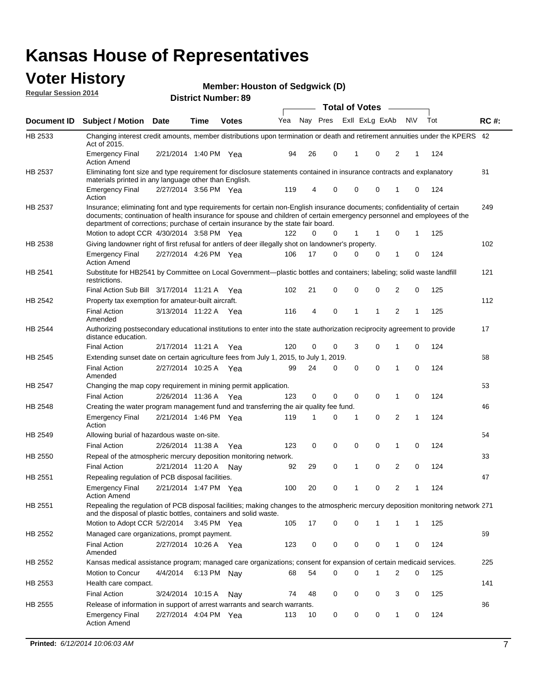#### **Voter History Regular Session 2014**

**Member: Houston of Sedgwick (D)** 

|                |                                                                                                                                                                                                                                                                                                                                           |                       |             | דיסוווטנו ו <b>שעווווט<del>כ</del>ו</b> |     |    |          | <b>Total of Votes</b> | $\sim$         |                |   |     |             |
|----------------|-------------------------------------------------------------------------------------------------------------------------------------------------------------------------------------------------------------------------------------------------------------------------------------------------------------------------------------------|-----------------------|-------------|-----------------------------------------|-----|----|----------|-----------------------|----------------|----------------|---|-----|-------------|
| Document ID    | <b>Subject / Motion Date</b>                                                                                                                                                                                                                                                                                                              |                       | Time        | <b>Votes</b>                            | Yea |    | Nay Pres |                       | Exll ExLg ExAb | <b>NV</b>      |   | Tot | <b>RC#:</b> |
| HB 2533        | Changing interest credit amounts, member distributions upon termination or death and retirement annuities under the KPERS 42<br>Act of 2015.                                                                                                                                                                                              |                       |             |                                         |     |    |          |                       |                |                |   |     |             |
|                | <b>Emergency Final</b><br><b>Action Amend</b>                                                                                                                                                                                                                                                                                             | 2/21/2014 1:40 PM Yea |             |                                         | 94  | 26 | 0        | 1                     | $\mathbf 0$    | 2              | 1 | 124 |             |
| HB 2537        | Eliminating font size and type requirement for disclosure statements contained in insurance contracts and explanatory<br>materials printed in any language other than English.                                                                                                                                                            |                       |             |                                         |     |    |          |                       |                |                |   |     | 81          |
|                | <b>Emergency Final</b><br>Action                                                                                                                                                                                                                                                                                                          | 2/27/2014 3:56 PM Yea |             |                                         | 119 | 4  | 0        | $\mathbf 0$           | 0              | 1              | 0 | 124 |             |
| HB 2537        | Insurance; eliminating font and type requirements for certain non-English insurance documents; confidentiality of certain<br>documents; continuation of health insurance for spouse and children of certain emergency personnel and employees of the<br>department of corrections; purchase of certain insurance by the state fair board. |                       |             |                                         |     |    |          |                       |                |                |   |     | 249         |
|                | Motion to adopt CCR 4/30/2014 3:58 PM Yea                                                                                                                                                                                                                                                                                                 |                       |             |                                         | 122 | 0  | 0        | 1                     | 1              | 0              | 1 | 125 |             |
| HB 2538        | Giving landowner right of first refusal for antlers of deer illegally shot on landowner's property.                                                                                                                                                                                                                                       |                       |             |                                         |     |    |          |                       |                |                |   |     | 102         |
|                | <b>Emergency Final</b><br><b>Action Amend</b>                                                                                                                                                                                                                                                                                             | 2/27/2014 4:26 PM Yea |             |                                         | 106 | 17 | 0        | 0                     | 0              | 1              | 0 | 124 |             |
| HB 2541        | Substitute for HB2541 by Committee on Local Government—plastic bottles and containers; labeling; solid waste landfill<br>restrictions.                                                                                                                                                                                                    |                       |             |                                         |     |    |          |                       |                |                |   |     | 121         |
|                | Final Action Sub Bill 3/17/2014 11:21 A Yea                                                                                                                                                                                                                                                                                               |                       |             |                                         | 102 | 21 | 0        | $\mathbf 0$           | 0              | 2              | 0 | 125 |             |
| HB 2542        | Property tax exemption for amateur-built aircraft.<br><b>Final Action</b><br>Amended                                                                                                                                                                                                                                                      | 3/13/2014 11:22 A Yea |             |                                         | 116 | 4  | 0        | 1                     | 1              | $\overline{2}$ | 1 | 125 | 112         |
| HB 2544        | Authorizing postsecondary educational institutions to enter into the state authorization reciprocity agreement to provide<br>distance education.                                                                                                                                                                                          |                       |             |                                         |     |    |          |                       |                |                |   |     | 17          |
|                | <b>Final Action</b>                                                                                                                                                                                                                                                                                                                       | 2/17/2014 11:21 A Yea |             |                                         | 120 | 0  | 0        | 3                     | 0              | 1              | 0 | 124 |             |
| HB 2545        | Extending sunset date on certain agriculture fees from July 1, 2015, to July 1, 2019.                                                                                                                                                                                                                                                     |                       |             |                                         |     |    |          |                       |                |                |   |     | 68          |
|                | <b>Final Action</b><br>Amended                                                                                                                                                                                                                                                                                                            | 2/27/2014 10:25 A Yea |             |                                         | 99  | 24 | 0        | $\mathbf 0$           | $\Omega$       | 1              | 0 | 124 |             |
| <b>HB 2547</b> | Changing the map copy requirement in mining permit application.                                                                                                                                                                                                                                                                           |                       |             |                                         |     |    |          |                       |                |                |   |     | 53          |
|                | <b>Final Action</b>                                                                                                                                                                                                                                                                                                                       | 2/26/2014 11:36 A     |             | Yea                                     | 123 | 0  | 0        | 0                     | 0              | 1              | 0 | 124 |             |
| HB 2548        | Creating the water program management fund and transferring the air quality fee fund.                                                                                                                                                                                                                                                     |                       |             |                                         |     |    |          |                       |                |                |   |     | 46          |
|                | <b>Emergency Final</b><br>Action                                                                                                                                                                                                                                                                                                          | 2/21/2014 1:46 PM Yea |             |                                         | 119 | 1  | 0        | 1                     | 0              | 2              | 1 | 124 |             |
| HB 2549        | Allowing burial of hazardous waste on-site.                                                                                                                                                                                                                                                                                               |                       |             |                                         |     |    |          |                       |                |                |   |     | 54          |
|                | <b>Final Action</b>                                                                                                                                                                                                                                                                                                                       | 2/26/2014 11:38 A     |             | Yea                                     | 123 | 0  | 0        | 0                     | 0              | 1              | 0 | 124 |             |
| HB 2550        | Repeal of the atmospheric mercury deposition monitoring network.                                                                                                                                                                                                                                                                          |                       |             |                                         |     |    |          |                       |                |                |   |     | 33          |
|                | <b>Final Action</b>                                                                                                                                                                                                                                                                                                                       | 2/21/2014 11:20 A     |             | Nay                                     | 92  | 29 | 0        | 1                     | 0              | 2              | 0 | 124 |             |
| HB 2551        | Repealing regulation of PCB disposal facilities.                                                                                                                                                                                                                                                                                          |                       |             |                                         |     |    |          |                       |                |                |   |     | 47          |
|                | <b>Emergency Final</b><br>Action Amend                                                                                                                                                                                                                                                                                                    | 2/21/2014 1:47 PM Yea |             |                                         | 100 | 20 | 0        | 1                     | 0              | 2              | 1 | 124 |             |
| HB 2551        | Repealing the regulation of PCB disposal facilities; making changes to the atmospheric mercury deposition monitoring network 271<br>and the disposal of plastic bottles, containers and solid waste.                                                                                                                                      |                       |             |                                         |     |    |          |                       |                |                |   |     |             |
|                | Motion to Adopt CCR 5/2/2014                                                                                                                                                                                                                                                                                                              |                       | 3:45 PM Yea |                                         | 105 | 17 | 0        | $\mathbf 0$           |                | 1              | 1 | 125 |             |
| HB 2552        | Managed care organizations, prompt payment.                                                                                                                                                                                                                                                                                               |                       |             |                                         |     |    |          |                       |                |                |   |     | 69          |
|                | <b>Final Action</b><br>Amended                                                                                                                                                                                                                                                                                                            | 2/27/2014 10:26 A Yea |             |                                         | 123 | 0  | 0        | $\mathbf 0$           | 0              | 1              | 0 | 124 |             |
| HB 2552        | Kansas medical assistance program; managed care organizations; consent for expansion of certain medicaid services.                                                                                                                                                                                                                        |                       |             |                                         |     |    |          |                       |                |                |   |     | 225         |
|                | Motion to Concur                                                                                                                                                                                                                                                                                                                          | 4/4/2014              | 6:13 PM Nay |                                         | 68  | 54 | 0        | $\mathbf 0$           | 1              | 2              | 0 | 125 |             |
| HB 2553        | Health care compact.                                                                                                                                                                                                                                                                                                                      |                       |             |                                         |     |    |          |                       |                |                |   |     | 141         |
|                | <b>Final Action</b>                                                                                                                                                                                                                                                                                                                       | 3/24/2014 10:15 A     |             | Nay                                     | 74  | 48 | 0        | 0                     | 0              | 3              | 0 | 125 |             |
| HB 2555        | Release of information in support of arrest warrants and search warrants.                                                                                                                                                                                                                                                                 |                       |             |                                         |     |    |          |                       |                |                |   |     | 86          |
|                | <b>Emergency Final</b><br><b>Action Amend</b>                                                                                                                                                                                                                                                                                             | 2/27/2014 4:04 PM Yea |             |                                         | 113 | 10 | 0        | 0                     | 0              | 1              | 0 | 124 |             |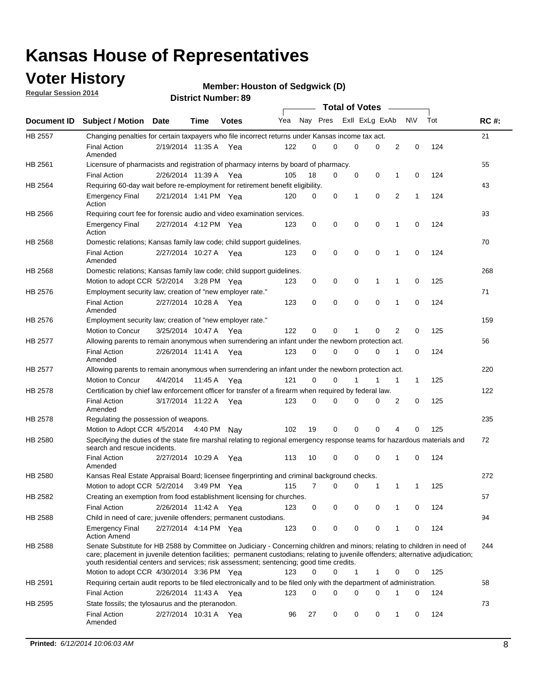## **Voter History**

**Regular Session 2014**

#### **Member: Houston of Sedgwick (D)**

|         |                                                                                                                                                                                                                                                                                                                                                           |                       |             | <b>DISTRICT MAILINGL'S</b> |     |          |             | <b>Total of Votes</b> |                               |     |     |             |
|---------|-----------------------------------------------------------------------------------------------------------------------------------------------------------------------------------------------------------------------------------------------------------------------------------------------------------------------------------------------------------|-----------------------|-------------|----------------------------|-----|----------|-------------|-----------------------|-------------------------------|-----|-----|-------------|
|         | Document ID Subject / Motion Date                                                                                                                                                                                                                                                                                                                         |                       | <b>Time</b> | <b>Votes</b>               | Yea |          | Nay Pres    | Exll ExLg ExAb        |                               | N\V | Tot | <b>RC#:</b> |
| HB 2557 | Changing penalties for certain taxpayers who file incorrect returns under Kansas income tax act.                                                                                                                                                                                                                                                          |                       |             |                            |     |          |             |                       |                               |     |     | 21          |
|         | <b>Final Action</b><br>Amended                                                                                                                                                                                                                                                                                                                            | 2/19/2014 11:35 A Yea |             |                            | 122 | 0        | 0           | 0                     | $\Omega$<br>2                 | 0   | 124 |             |
| HB 2561 | Licensure of pharmacists and registration of pharmacy interns by board of pharmacy.                                                                                                                                                                                                                                                                       |                       |             |                            |     |          |             |                       |                               |     |     | 55          |
|         | <b>Final Action</b>                                                                                                                                                                                                                                                                                                                                       | 2/26/2014 11:39 A     |             | Yea                        | 105 | 18       | 0           | 0                     | 0<br>1                        | 0   | 124 |             |
| HB 2564 | Requiring 60-day wait before re-employment for retirement benefit eligibility.                                                                                                                                                                                                                                                                            |                       |             |                            |     |          |             |                       |                               |     |     | 43          |
|         | <b>Emergency Final</b><br>Action                                                                                                                                                                                                                                                                                                                          | 2/21/2014 1:41 PM Yea |             |                            | 120 | 0        | 0           | 1                     | $\mathbf 0$<br>$\overline{2}$ | 1   | 124 |             |
| HB 2566 | Requiring court fee for forensic audio and video examination services.                                                                                                                                                                                                                                                                                    |                       |             |                            |     |          |             |                       |                               |     |     | 93          |
|         | <b>Emergency Final</b><br>Action                                                                                                                                                                                                                                                                                                                          | 2/27/2014 4:12 PM Yea |             |                            | 123 | 0        | 0           | $\mathbf 0$           | 0<br>1                        | 0   | 124 |             |
| HB 2568 | Domestic relations; Kansas family law code; child support guidelines.                                                                                                                                                                                                                                                                                     |                       |             |                            |     |          |             |                       |                               |     |     | 70          |
|         | <b>Final Action</b><br>Amended                                                                                                                                                                                                                                                                                                                            | 2/27/2014 10:27 A Yea |             |                            | 123 | 0        | 0           | 0                     | $\mathbf 0$<br>1              | 0   | 124 |             |
| HB 2568 | Domestic relations; Kansas family law code; child support guidelines.                                                                                                                                                                                                                                                                                     |                       |             |                            |     |          |             |                       |                               |     |     | 268         |
|         | Motion to adopt CCR 5/2/2014                                                                                                                                                                                                                                                                                                                              |                       |             | 3:28 PM Yea                | 123 | 0        | 0           | 0                     | 1<br>1                        | 0   | 125 |             |
| HB 2576 | Employment security law; creation of "new employer rate."                                                                                                                                                                                                                                                                                                 |                       |             |                            |     |          |             |                       |                               |     |     | 71          |
|         | <b>Final Action</b><br>Amended                                                                                                                                                                                                                                                                                                                            | 2/27/2014 10:28 A     |             | Yea                        | 123 | 0        | $\mathbf 0$ | $\mathbf 0$           | $\mathbf 0$<br>1              | 0   | 124 |             |
| HB 2576 | Employment security law; creation of "new employer rate."                                                                                                                                                                                                                                                                                                 |                       |             |                            |     |          |             |                       |                               |     |     | 159         |
|         | Motion to Concur                                                                                                                                                                                                                                                                                                                                          | 3/25/2014 10:47 A     |             | Yea                        | 122 | 0        | 0           | 1                     | 0<br>2                        | 0   | 125 |             |
| HB 2577 | Allowing parents to remain anonymous when surrendering an infant under the newborn protection act.                                                                                                                                                                                                                                                        |                       |             |                            |     |          |             |                       |                               |     |     | 56          |
|         | <b>Final Action</b><br>Amended                                                                                                                                                                                                                                                                                                                            | 2/26/2014 11:41 A     |             | Yea                        | 123 | 0        | 0           | $\mathbf 0$           | 0<br>1                        | 0   | 124 |             |
| HB 2577 | Allowing parents to remain anonymous when surrendering an infant under the newborn protection act.                                                                                                                                                                                                                                                        |                       |             |                            |     |          |             |                       |                               |     |     | 220         |
|         | <b>Motion to Concur</b>                                                                                                                                                                                                                                                                                                                                   | 4/4/2014              | 11:45 A     | Yea                        | 121 | $\Omega$ | 0           | 1                     | 1                             | 1   | 125 |             |
| HB 2578 | Certification by chief law enforcement officer for transfer of a firearm when required by federal law.                                                                                                                                                                                                                                                    |                       |             |                            |     |          |             |                       |                               |     |     | 122         |
|         | <b>Final Action</b><br>Amended                                                                                                                                                                                                                                                                                                                            | 3/17/2014 11:22 A Yea |             |                            | 123 | 0        | 0           | 0                     | 2<br>0                        | 0   | 125 |             |
| HB 2578 | Regulating the possession of weapons.                                                                                                                                                                                                                                                                                                                     |                       |             |                            |     |          |             |                       |                               |     |     | 235         |
|         | Motion to Adopt CCR 4/5/2014 4:40 PM Nay                                                                                                                                                                                                                                                                                                                  |                       |             |                            | 102 | 19       | $\mathbf 0$ | $\mathbf 0$           | 0<br>4                        | 0   | 125 |             |
| HB 2580 | Specifying the duties of the state fire marshal relating to regional emergency response teams for hazardous materials and<br>search and rescue incidents.                                                                                                                                                                                                 |                       |             |                            |     |          |             |                       |                               |     |     | 72          |
|         | <b>Final Action</b><br>Amended                                                                                                                                                                                                                                                                                                                            | 2/27/2014 10:29 A     |             | Yea                        | 113 | 10       | 0           | $\mathbf 0$           | $\mathbf 0$<br>1              | 0   | 124 |             |
| HB 2580 | Kansas Real Estate Appraisal Board; licensee fingerprinting and criminal background checks.                                                                                                                                                                                                                                                               |                       |             |                            |     |          |             |                       |                               |     |     | 272         |
|         | Motion to adopt CCR 5/2/2014                                                                                                                                                                                                                                                                                                                              |                       | 3:49 PM Yea |                            | 115 | 7        | 0           | 0<br>1                | 1                             | -1  | 125 |             |
| HB 2582 | Creating an exemption from food establishment licensing for churches.                                                                                                                                                                                                                                                                                     |                       |             |                            |     |          |             |                       |                               |     |     | 57          |
|         | <b>Final Action</b>                                                                                                                                                                                                                                                                                                                                       | 2/26/2014 11:42 A     |             | Yea                        | 123 | 0        | 0           | 0                     | 0<br>1                        | 0   | 124 |             |
| HB 2588 | Child in need of care; juvenile offenders; permanent custodians.                                                                                                                                                                                                                                                                                          |                       |             |                            |     |          |             |                       |                               |     |     | 94          |
|         | <b>Emergency Final</b><br><b>Action Amend</b>                                                                                                                                                                                                                                                                                                             | 2/27/2014 4:14 PM Yea |             |                            | 123 | 0        | 0           | 0                     | 0<br>1                        | 0   | 124 |             |
| HB 2588 | Senate Substitute for HB 2588 by Committee on Judiciary - Concerning children and minors; relating to children in need of<br>care; placement in juvenile detention facilities; permanent custodians; relating to juvenile offenders; alternative adjudication;<br>youth residential centers and services; risk assessment; sentencing; good time credits. |                       |             |                            |     |          |             |                       |                               |     |     | 244         |
|         | Motion to adopt CCR 4/30/2014 3:36 PM Yea                                                                                                                                                                                                                                                                                                                 |                       |             |                            | 123 | $\Omega$ | 0           | $\mathbf{1}$          | 1<br>0                        | 0   | 125 |             |
| HB 2591 | Requiring certain audit reports to be filed electronically and to be filed only with the department of administration.                                                                                                                                                                                                                                    |                       |             |                            |     |          |             |                       |                               |     |     | 58          |
|         | <b>Final Action</b>                                                                                                                                                                                                                                                                                                                                       | 2/26/2014 11:43 A Yea |             |                            | 123 | 0        | 0           | 0                     | 0<br>1                        | 0   | 124 |             |
| HB 2595 | State fossils; the tylosaurus and the pteranodon.                                                                                                                                                                                                                                                                                                         |                       |             |                            |     |          |             |                       |                               |     |     | 73          |
|         | <b>Final Action</b><br>Amended                                                                                                                                                                                                                                                                                                                            | 2/27/2014 10:31 A Yea |             |                            | 96  | 27       | 0           | 0                     | 0<br>1                        | 0   | 124 |             |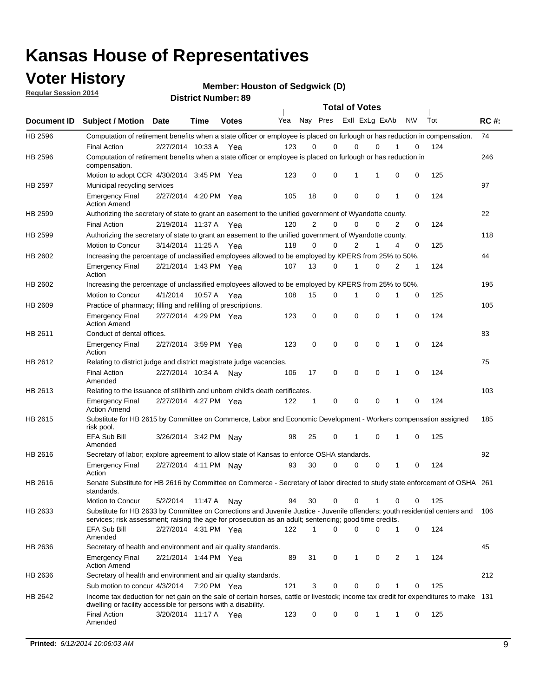### **Voter History**

**Regular Session 2014**

**Member: Houston of Sedgwick (D)** 

|             |     |           |   |             | <b>Total of Votes</b> |             |                |     |              | <b>DISTRICT MAILINGL'S</b> |                       |                                                                                                                                                                                                                                       |                |  |  |  |  |  |  |  |  |
|-------------|-----|-----------|---|-------------|-----------------------|-------------|----------------|-----|--------------|----------------------------|-----------------------|---------------------------------------------------------------------------------------------------------------------------------------------------------------------------------------------------------------------------------------|----------------|--|--|--|--|--|--|--|--|
| <b>RC#:</b> | Tot | <b>NV</b> |   |             | Exll ExLg ExAb        | Nay Pres    |                | Yea | <b>Votes</b> | Time                       | <b>Date</b>           | <b>Subject / Motion</b>                                                                                                                                                                                                               | Document ID    |  |  |  |  |  |  |  |  |
| 74          |     |           |   |             |                       |             |                |     |              |                            |                       | Computation of retirement benefits when a state officer or employee is placed on furlough or has reduction in compensation.                                                                                                           | HB 2596        |  |  |  |  |  |  |  |  |
|             | 124 | 0         |   | $\Omega$    | 0                     | $\Omega$    | 0              | 123 | Yea          |                            | 2/27/2014 10:33 A     | <b>Final Action</b>                                                                                                                                                                                                                   |                |  |  |  |  |  |  |  |  |
| 246         |     |           |   |             |                       |             |                |     |              |                            |                       | Computation of retirement benefits when a state officer or employee is placed on furlough or has reduction in<br>compensation.                                                                                                        | HB 2596        |  |  |  |  |  |  |  |  |
|             | 125 | 0         | 0 | 1           | 1                     | 0           | 0              | 123 |              |                            |                       | Motion to adopt CCR 4/30/2014 3:45 PM Yea                                                                                                                                                                                             |                |  |  |  |  |  |  |  |  |
| 97          |     |           |   |             |                       |             |                |     |              |                            |                       | Municipal recycling services                                                                                                                                                                                                          | <b>HB 2597</b> |  |  |  |  |  |  |  |  |
|             | 124 | 0         | 1 | $\mathbf 0$ | $\mathbf 0$           | $\mathbf 0$ | 18             | 105 |              |                            | 2/27/2014 4:20 PM Yea | <b>Emergency Final</b><br><b>Action Amend</b>                                                                                                                                                                                         |                |  |  |  |  |  |  |  |  |
| 22          |     |           |   |             |                       |             |                |     |              |                            |                       | Authorizing the secretary of state to grant an easement to the unified government of Wyandotte county.                                                                                                                                | HB 2599        |  |  |  |  |  |  |  |  |
|             | 124 | 0         | 2 | $\Omega$    | 0                     | $\mathbf 0$ | $\overline{2}$ | 120 | Yea          |                            | 2/19/2014 11:37 A     | <b>Final Action</b>                                                                                                                                                                                                                   |                |  |  |  |  |  |  |  |  |
| 118         |     |           |   |             |                       |             |                |     |              |                            |                       | Authorizing the secretary of state to grant an easement to the unified government of Wyandotte county.                                                                                                                                | HB 2599        |  |  |  |  |  |  |  |  |
|             | 125 | 0         | 4 | 1           | $\overline{2}$        | 0           | $\Omega$       | 118 | Yea          |                            | 3/14/2014 11:25 A     | Motion to Concur                                                                                                                                                                                                                      |                |  |  |  |  |  |  |  |  |
| 44          |     |           |   |             |                       |             |                |     |              |                            |                       | Increasing the percentage of unclassified employees allowed to be employed by KPERS from 25% to 50%.                                                                                                                                  | HB 2602        |  |  |  |  |  |  |  |  |
|             | 124 | 1         | 2 | $\Omega$    | 1                     | 0           | 13             | 107 |              |                            | 2/21/2014 1:43 PM Yea | <b>Emergency Final</b><br>Action                                                                                                                                                                                                      |                |  |  |  |  |  |  |  |  |
| 195         |     |           |   |             |                       |             |                |     |              |                            |                       | Increasing the percentage of unclassified employees allowed to be employed by KPERS from 25% to 50%.                                                                                                                                  | HB 2602        |  |  |  |  |  |  |  |  |
|             | 125 | 0         | 1 | 0           | 1                     | 0           | 15             | 108 |              | 10:57 A Yea                | 4/1/2014              | Motion to Concur                                                                                                                                                                                                                      |                |  |  |  |  |  |  |  |  |
| 105         |     |           |   |             |                       |             |                |     |              |                            |                       | Practice of pharmacy; filling and refilling of prescriptions.                                                                                                                                                                         | HB 2609        |  |  |  |  |  |  |  |  |
|             | 124 | 0         | 1 | $\Omega$    | $\mathbf 0$           | $\mathbf 0$ | 0              | 123 |              |                            | 2/27/2014 4:29 PM Yea | <b>Emergency Final</b><br><b>Action Amend</b>                                                                                                                                                                                         |                |  |  |  |  |  |  |  |  |
| 83          |     |           |   |             |                       |             |                |     |              |                            |                       | Conduct of dental offices.                                                                                                                                                                                                            | HB 2611        |  |  |  |  |  |  |  |  |
|             | 124 | 0         | 1 | $\mathbf 0$ | $\mathbf 0$           | $\mathbf 0$ | 0              | 123 |              |                            | 2/27/2014 3:59 PM Yea | <b>Emergency Final</b><br>Action                                                                                                                                                                                                      |                |  |  |  |  |  |  |  |  |
| 75          |     |           |   |             |                       |             |                |     |              |                            |                       | Relating to district judge and district magistrate judge vacancies.                                                                                                                                                                   | HB 2612        |  |  |  |  |  |  |  |  |
|             | 124 | 0         | 1 | $\mathbf 0$ | $\mathbf 0$           | 0           | 17             | 106 | Nav          |                            | 2/27/2014 10:34 A     | <b>Final Action</b><br>Amended                                                                                                                                                                                                        |                |  |  |  |  |  |  |  |  |
| 103         |     |           |   |             |                       |             |                |     |              |                            |                       | Relating to the issuance of stillbirth and unborn child's death certificates.                                                                                                                                                         | HB 2613        |  |  |  |  |  |  |  |  |
|             | 124 | 0         | 1 | $\Omega$    | $\mathbf 0$           | 0           | 1              | 122 |              |                            | 2/27/2014 4:27 PM Yea | <b>Emergency Final</b><br><b>Action Amend</b>                                                                                                                                                                                         |                |  |  |  |  |  |  |  |  |
| 185         |     |           |   |             |                       |             |                |     |              |                            |                       | Substitute for HB 2615 by Committee on Commerce, Labor and Economic Development - Workers compensation assigned<br>risk pool.                                                                                                         | HB 2615        |  |  |  |  |  |  |  |  |
|             | 125 | 0         | 1 | $\mathbf 0$ | 1                     | 0           | 25             | 98  |              |                            | 3/26/2014 3:42 PM Nay | EFA Sub Bill<br>Amended                                                                                                                                                                                                               |                |  |  |  |  |  |  |  |  |
| 92          |     |           |   |             |                       |             |                |     |              |                            |                       | Secretary of labor; explore agreement to allow state of Kansas to enforce OSHA standards.                                                                                                                                             | HB 2616        |  |  |  |  |  |  |  |  |
|             | 124 | 0         | 1 | 0           | 0                     | 0           | 30             | 93  |              |                            | 2/27/2014 4:11 PM Nay | <b>Emergency Final</b><br>Action                                                                                                                                                                                                      |                |  |  |  |  |  |  |  |  |
|             |     |           |   |             |                       |             |                |     |              |                            |                       | Senate Substitute for HB 2616 by Committee on Commerce - Secretary of labor directed to study state enforcement of OSHA 261<br>standards.                                                                                             | HB 2616        |  |  |  |  |  |  |  |  |
|             | 125 | 0         | 0 | 1           | 0                     | 0           | 30             | 94  |              | 11:47 A Nay                | 5/2/2014              | Motion to Concur                                                                                                                                                                                                                      |                |  |  |  |  |  |  |  |  |
| 106         |     |           |   |             |                       |             |                |     |              |                            |                       | Substitute for HB 2633 by Committee on Corrections and Juvenile Justice - Juvenile offenders; youth residential centers and<br>services; risk assessment; raising the age for prosecution as an adult; sentencing; good time credits. | HB 2633        |  |  |  |  |  |  |  |  |
|             | 124 | 0         | 1 | 0           | $\mathbf 0$           | 0           | 1              | 122 |              |                            | 2/27/2014 4:31 PM Yea | EFA Sub Bill<br>Amended                                                                                                                                                                                                               |                |  |  |  |  |  |  |  |  |
| 45          |     |           |   |             |                       |             |                |     |              |                            |                       | Secretary of health and environment and air quality standards.                                                                                                                                                                        | HB 2636        |  |  |  |  |  |  |  |  |
|             | 124 | 1         | 2 | 0           | 1                     | 0           | 31             | 89  |              |                            | 2/21/2014 1:44 PM Yea | <b>Emergency Final</b><br><b>Action Amend</b>                                                                                                                                                                                         |                |  |  |  |  |  |  |  |  |
| 212         |     |           |   |             |                       |             |                |     |              |                            |                       | Secretary of health and environment and air quality standards.                                                                                                                                                                        | HB 2636        |  |  |  |  |  |  |  |  |
|             | 125 | 0         |   | 0           | 0                     | 0           | 3              | 121 |              | 7:20 PM Yea                |                       | Sub motion to concur 4/3/2014                                                                                                                                                                                                         |                |  |  |  |  |  |  |  |  |
|             |     |           |   |             |                       |             |                |     |              |                            |                       | Income tax deduction for net gain on the sale of certain horses, cattle or livestock; income tax credit for expenditures to make 131                                                                                                  | HB 2642        |  |  |  |  |  |  |  |  |
|             | 125 | 0         | 1 | 1           | 0                     | 0           | 0              | 123 |              |                            | 3/20/2014 11:17 A Yea | <b>Final Action</b>                                                                                                                                                                                                                   |                |  |  |  |  |  |  |  |  |
|             |     |           |   |             |                       |             |                |     |              |                            |                       | dwelling or facility accessible for persons with a disability.<br>Amended                                                                                                                                                             |                |  |  |  |  |  |  |  |  |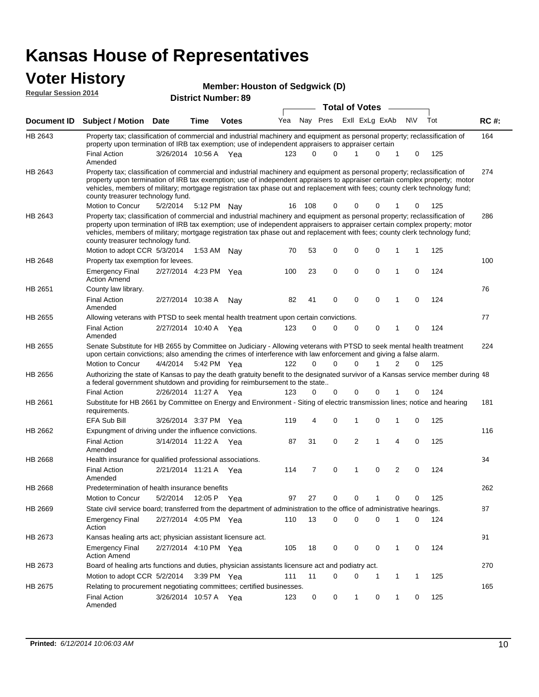#### **Voter History Regular Session 2014**

|  | <b>Member: Houston of Sedgwick (D)</b> |  |
|--|----------------------------------------|--|
|  |                                        |  |

|                | <b>District Number: 89</b>                                                                                                                                                                                                                                |                       |             |              |     |          |          |  |             |                   |                |             |     |             |
|----------------|-----------------------------------------------------------------------------------------------------------------------------------------------------------------------------------------------------------------------------------------------------------|-----------------------|-------------|--------------|-----|----------|----------|--|-------------|-------------------|----------------|-------------|-----|-------------|
|                |                                                                                                                                                                                                                                                           |                       |             |              |     |          |          |  |             | Total of Votes __ |                |             |     |             |
| Document ID    | <b>Subject / Motion Date</b>                                                                                                                                                                                                                              |                       | <b>Time</b> | <b>Votes</b> | Yea |          | Nav Pres |  |             | Exll ExLg ExAb    |                | N\V         | Tot | <b>RC#:</b> |
| HB 2643        | Property tax; classification of commercial and industrial machinery and equipment as personal property; reclassification of                                                                                                                               |                       |             |              |     |          |          |  |             |                   |                |             |     | 164         |
|                | property upon termination of IRB tax exemption; use of independent appraisers to appraiser certain                                                                                                                                                        |                       |             |              |     |          |          |  |             |                   |                |             |     |             |
|                | <b>Final Action</b><br>Amended                                                                                                                                                                                                                            | 3/26/2014 10:56 A Yea |             |              | 123 | $\Omega$ | $\Omega$ |  |             | $\Omega$          | 1              | 0           | 125 |             |
| HB 2643        | Property tax; classification of commercial and industrial machinery and equipment as personal property; reclassification of                                                                                                                               |                       |             |              |     |          |          |  |             |                   |                |             |     | 274         |
|                | property upon termination of IRB tax exemption; use of independent appraisers to appraiser certain complex property; motor<br>vehicles, members of military; mortgage registration tax phase out and replacement with fees; county clerk technology fund; |                       |             |              |     |          |          |  |             |                   |                |             |     |             |
|                | county treasurer technology fund.                                                                                                                                                                                                                         |                       |             |              |     |          |          |  |             |                   |                |             |     |             |
|                | Motion to Concur                                                                                                                                                                                                                                          | 5/2/2014              | 5:12 PM     | Nav          | 16  | 108      | 0        |  | 0           | 0                 | 1              | 0           | 125 |             |
| HB 2643        | Property tax; classification of commercial and industrial machinery and equipment as personal property; reclassification of                                                                                                                               |                       |             |              |     |          |          |  |             |                   |                |             |     | 286         |
|                | property upon termination of IRB tax exemption; use of independent appraisers to appraiser certain complex property; motor<br>vehicles, members of military; mortgage registration tax phase out and replacement with fees; county clerk technology fund; |                       |             |              |     |          |          |  |             |                   |                |             |     |             |
|                | county treasurer technology fund.<br>Motion to adopt CCR 5/3/2014                                                                                                                                                                                         |                       |             |              | 70  | 53       | 0        |  | 0           | $\mathbf 0$       | 1              | 1           | 125 |             |
| HB 2648        |                                                                                                                                                                                                                                                           |                       |             | 1:53 AM Nav  |     |          |          |  |             |                   |                |             |     | 100         |
|                | Property tax exemption for levees.<br><b>Emergency Final</b>                                                                                                                                                                                              | 2/27/2014 4:23 PM Yea |             |              | 100 | 23       | 0        |  | $\mathbf 0$ | $\mathbf 0$       | 1              | $\Omega$    | 124 |             |
|                | <b>Action Amend</b>                                                                                                                                                                                                                                       |                       |             |              |     |          |          |  |             |                   |                |             |     |             |
| HB 2651        | County law library.                                                                                                                                                                                                                                       |                       |             |              |     |          |          |  |             |                   |                |             |     | 76          |
|                | <b>Final Action</b><br>Amended                                                                                                                                                                                                                            | 2/27/2014 10:38 A     |             | Nay          | 82  | 41       | 0        |  | 0           | $\mathbf 0$       | 1              | 0           | 124 |             |
| HB 2655        | Allowing veterans with PTSD to seek mental health treatment upon certain convictions.                                                                                                                                                                     |                       |             |              |     |          |          |  |             |                   |                |             |     | 77          |
|                | <b>Final Action</b><br>Amended                                                                                                                                                                                                                            | 2/27/2014 10:40 A     |             | Yea          | 123 | 0        | 0        |  | 0           | 0                 | 1              | 0           | 124 |             |
| HB 2655        | Senate Substitute for HB 2655 by Committee on Judiciary - Allowing veterans with PTSD to seek mental health treatment<br>upon certain convictions; also amending the crimes of interference with law enforcement and giving a false alarm.                |                       |             |              |     |          |          |  |             |                   |                |             |     | 224         |
|                | Motion to Concur                                                                                                                                                                                                                                          | 4/4/2014              |             | 5:42 PM Yea  | 122 | 0        | 0        |  | $\mathbf 0$ | 1                 | 2              | $\Omega$    | 125 |             |
| HB 2656        | Authorizing the state of Kansas to pay the death gratuity benefit to the designated survivor of a Kansas service member during 48<br>a federal government shutdown and providing for reimbursement to the state                                           |                       |             |              |     |          |          |  |             |                   |                |             |     |             |
|                | <b>Final Action</b>                                                                                                                                                                                                                                       | 2/26/2014 11:27 A     |             | Yea          | 123 | $\Omega$ | 0        |  | 0           | 0                 |                | 0           | 124 |             |
| HB 2661        | Substitute for HB 2661 by Committee on Energy and Environment - Siting of electric transmission lines; notice and hearing<br>requirements.                                                                                                                |                       |             |              |     |          |          |  |             |                   |                |             |     | 181         |
|                | <b>EFA Sub Bill</b>                                                                                                                                                                                                                                       | 3/26/2014 3:37 PM Yea |             |              | 119 | 4        | 0        |  | 1           | $\mathbf 0$       | 1              | $\mathbf 0$ | 125 |             |
| HB 2662        | Expungment of driving under the influence convictions.                                                                                                                                                                                                    |                       |             |              |     |          |          |  |             |                   |                |             |     | 116         |
|                | <b>Final Action</b><br>Amended                                                                                                                                                                                                                            | 3/14/2014 11:22 A     |             | Yea          | 87  | 31       | 0        |  | 2           | 1                 | 4              | 0           | 125 |             |
| <b>HB 2668</b> | Health insurance for qualified professional associations.                                                                                                                                                                                                 |                       |             |              |     |          |          |  |             |                   |                |             |     | 34          |
|                | <b>Final Action</b><br>Amended                                                                                                                                                                                                                            | 2/21/2014 11:21 A Yea |             |              | 114 | 7        | 0        |  | 1           | $\Omega$          | $\overline{2}$ | $\Omega$    | 124 |             |
| HB 2668        | Predetermination of health insurance benefits                                                                                                                                                                                                             |                       |             |              |     |          |          |  |             |                   |                |             |     | 262         |
|                | Motion to Concur                                                                                                                                                                                                                                          | 5/2/2014              |             | 12:05 P Yea  | 97  | 27       | 0        |  | 0           |                   | 0              | 0           | 125 |             |
| HB 2669        | State civil service board; transferred from the department of administration to the office of administrative hearings.                                                                                                                                    |                       |             |              |     |          |          |  |             |                   |                |             |     | 87          |
|                | <b>Emergency Final</b><br>Action                                                                                                                                                                                                                          | 2/27/2014 4:05 PM Yea |             |              | 110 | 13       | 0        |  | 0           | $\mathbf 0$       | 1              | 0           | 124 |             |
| HB 2673        | Kansas healing arts act; physician assistant licensure act.                                                                                                                                                                                               |                       |             |              |     |          |          |  |             |                   |                |             |     | 91          |
|                | <b>Emergency Final</b><br><b>Action Amend</b>                                                                                                                                                                                                             | 2/27/2014 4:10 PM Yea |             |              | 105 | 18       | 0        |  | 0           | 0                 | $\mathbf 1$    | 0           | 124 |             |
| HB 2673        | Board of healing arts functions and duties, physician assistants licensure act and podiatry act.                                                                                                                                                          |                       |             |              |     |          |          |  |             |                   |                |             |     | 270         |
|                | Motion to adopt CCR 5/2/2014 3:39 PM Yea                                                                                                                                                                                                                  |                       |             |              | 111 | 11       | 0        |  | 0           | 1                 | 1              | 1           | 125 |             |
| HB 2675        | Relating to procurement negotiating committees; certified businesses.                                                                                                                                                                                     |                       |             |              |     |          |          |  |             |                   |                |             |     | 165         |
|                | <b>Final Action</b><br>Amended                                                                                                                                                                                                                            | 3/26/2014 10:57 A Yea |             |              | 123 | 0        | 0        |  | 1           | 0                 | $\mathbf{1}$   | 0           | 125 |             |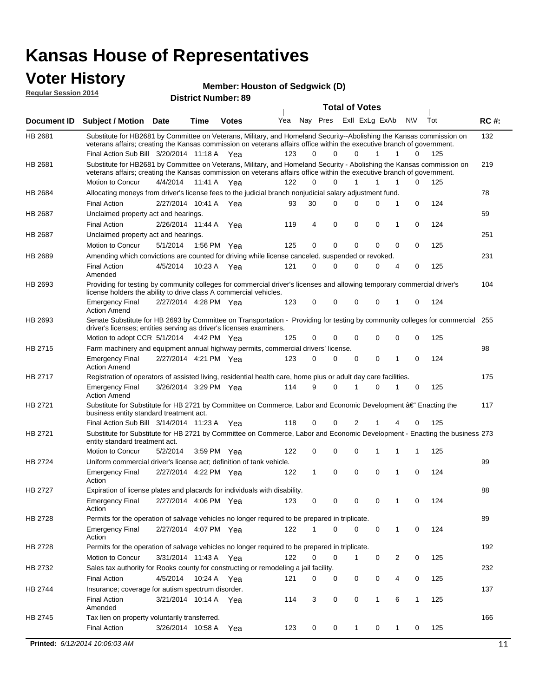## **Voter History**

**Regular Session 2014**

#### **Member: Houston of Sedgwick (D)**

| noguidi ocoololi 4014 |                                                                                                                                                                                                                                                                                               |                                                                                                                |             | <b>District Number: 89</b> |     |    |                         |                       |  |   |               |     |             |
|-----------------------|-----------------------------------------------------------------------------------------------------------------------------------------------------------------------------------------------------------------------------------------------------------------------------------------------|----------------------------------------------------------------------------------------------------------------|-------------|----------------------------|-----|----|-------------------------|-----------------------|--|---|---------------|-----|-------------|
|                       |                                                                                                                                                                                                                                                                                               |                                                                                                                |             |                            |     |    |                         | <b>Total of Votes</b> |  |   |               |     |             |
| <b>Document ID</b>    | Subject / Motion Date                                                                                                                                                                                                                                                                         |                                                                                                                | <b>Time</b> | <b>Votes</b>               | Yea |    | Nay Pres ExII ExLg ExAb |                       |  |   | N\V           | Tot | <b>RC#:</b> |
| HB 2681               | Substitute for HB2681 by Committee on Veterans, Military, and Homeland Security--Abolishing the Kansas commission on<br>veterans affairs; creating the Kansas commission on veterans affairs office within the executive branch of government.<br>Final Action Sub Bill 3/20/2014 11:18 A Yea |                                                                                                                |             |                            | 123 | 0  | $\Omega$                | 0                     |  | 1 | 1<br>$\Omega$ | 125 | 132         |
| HB 2681               | Substitute for HB2681 by Committee on Veterans, Military, and Homeland Security - Abolishing the Kansas commission on<br>veterans affairs; creating the Kansas commission on veterans affairs office within the executive branch of government.                                               |                                                                                                                |             |                            |     |    |                         |                       |  |   |               |     | 219         |
|                       | Motion to Concur                                                                                                                                                                                                                                                                              | 4/4/2014                                                                                                       | 11:41 A     | Yea                        | 122 | 0  | 0                       | 1                     |  | 1 | 0<br>1        | 125 |             |
| HB 2684               | Allocating moneys from driver's license fees to the judicial branch nonjudicial salary adjustment fund.                                                                                                                                                                                       |                                                                                                                |             |                            |     |    |                         |                       |  |   |               |     | 78          |
|                       | <b>Final Action</b>                                                                                                                                                                                                                                                                           | 2/27/2014 10:41 A                                                                                              |             | Yea                        | 93  | 30 | 0                       | $\Omega$              |  | 0 | 1<br>0        | 124 |             |
| HB 2687               | Unclaimed property act and hearings.                                                                                                                                                                                                                                                          |                                                                                                                |             |                            |     |    |                         |                       |  |   |               |     | 59          |
|                       | 0<br>0<br><b>Final Action</b><br>2/26/2014 11:44 A<br>119<br>4<br>0<br>0<br>124<br>Yea<br>1                                                                                                                                                                                                   |                                                                                                                |             |                            |     |    |                         |                       |  |   |               |     |             |
| HB 2687               |                                                                                                                                                                                                                                                                                               | Unclaimed property act and hearings.                                                                           |             |                            |     |    |                         |                       |  |   |               |     | 251         |
|                       | Motion to Concur                                                                                                                                                                                                                                                                              | 5/1/2014                                                                                                       | 1:56 PM     | Yea                        | 125 | 0  | $\mathbf 0$             | 0                     |  | 0 | 0<br>0        | 125 |             |
| HB 2689               | Amending which convictions are counted for driving while license canceled, suspended or revoked.                                                                                                                                                                                              |                                                                                                                |             |                            |     |    |                         |                       |  |   |               |     | 231         |
|                       | <b>Final Action</b><br>Amended                                                                                                                                                                                                                                                                | 4/5/2014                                                                                                       | 10:23 A     | Yea                        | 121 | 0  | 0                       | $\Omega$              |  | 0 | 0<br>4        | 125 |             |
| HB 2693               | Providing for testing by community colleges for commercial driver's licenses and allowing temporary commercial driver's<br>license holders the ability to drive class A commercial vehicles.                                                                                                  |                                                                                                                |             |                            |     |    |                         |                       |  |   |               |     |             |
|                       | <b>Emergency Final</b><br><b>Action Amend</b>                                                                                                                                                                                                                                                 | 2/27/2014 4:28 PM Yea                                                                                          |             |                            | 123 | 0  | $\Omega$                | 0                     |  | 0 | 0<br>1        | 124 |             |
| HB 2693               | Senate Substitute for HB 2693 by Committee on Transportation - Providing for testing by community colleges for commercial 255<br>driver's licenses; entities serving as driver's licenses examiners.                                                                                          |                                                                                                                |             |                            |     |    |                         |                       |  |   |               |     |             |
|                       | Motion to adopt CCR 5/1/2014 4:42 PM Yea                                                                                                                                                                                                                                                      |                                                                                                                |             |                            | 125 | 0  | 0                       | 0                     |  | 0 | 0<br>0        | 125 |             |
| HB 2715               | Farm machinery and equipment annual highway permits, commercial drivers' license.                                                                                                                                                                                                             |                                                                                                                |             |                            |     |    |                         |                       |  |   |               |     | 98          |
|                       | <b>Emergency Final</b><br><b>Action Amend</b>                                                                                                                                                                                                                                                 | 2/27/2014 4:21 PM Yea                                                                                          |             |                            | 123 | 0  | 0                       | 0                     |  | 0 | 1<br>0        | 124 |             |
| HB 2717               |                                                                                                                                                                                                                                                                                               | Registration of operators of assisted living, residential health care, home plus or adult day care facilities. |             |                            |     |    |                         |                       |  |   |               |     | 175         |
|                       | <b>Emergency Final</b><br><b>Action Amend</b>                                                                                                                                                                                                                                                 | 3/26/2014 3:29 PM Yea                                                                                          |             |                            | 114 | 9  | 0                       | 1                     |  | 0 | 1<br>0        | 125 |             |
| HB 2721               | Substitute for Substitute for HB 2721 by Committee on Commerce, Labor and Economic Development †Enacting the<br>business entity standard treatment act.                                                                                                                                       |                                                                                                                |             |                            |     |    |                         |                       |  |   |               |     | 117         |
|                       | Final Action Sub Bill 3/14/2014 11:23 A Yea                                                                                                                                                                                                                                                   |                                                                                                                |             |                            | 118 | 0  | 0                       | 2                     |  |   | 0             | 125 |             |
| HB 2721               | Substitute for Substitute for HB 2721 by Committee on Commerce, Labor and Economic Development - Enacting the business 273<br>entity standard treatment act.                                                                                                                                  |                                                                                                                |             |                            |     |    |                         |                       |  |   |               |     |             |
|                       | Motion to Concur                                                                                                                                                                                                                                                                              | 5/2/2014                                                                                                       | 3:59 PM     | Yea                        | 122 | 0  | 0                       | 0                     |  | 1 | 1<br>1        | 125 |             |
| HB 2724               | Uniform commercial driver's license act; definition of tank vehicle.<br><b>Emergency Final</b>                                                                                                                                                                                                | 2/27/2014 4:22 PM Yea                                                                                          |             |                            | 122 | 1  | 0                       | 0                     |  | 0 | 0<br>1        | 124 | 99          |
| HB 2727               | Action<br>Expiration of license plates and placards for individuals with disability.                                                                                                                                                                                                          |                                                                                                                |             |                            |     |    |                         |                       |  |   |               |     | 88          |
|                       | <b>Emergency Final</b><br>Action                                                                                                                                                                                                                                                              | 2/27/2014 4:06 PM Yea                                                                                          |             |                            | 123 | 0  | 0                       | 0                     |  | 0 | 1<br>0        | 124 |             |
| HB 2728               | Permits for the operation of salvage vehicles no longer required to be prepared in triplicate.                                                                                                                                                                                                |                                                                                                                |             |                            |     |    |                         |                       |  |   |               |     | 89          |
|                       | <b>Emergency Final</b><br>Action                                                                                                                                                                                                                                                              | 2/27/2014 4:07 PM Yea                                                                                          |             |                            | 122 | 1  | 0                       | $\Omega$              |  | 0 | 0<br>1        | 124 |             |
| HB 2728               | Permits for the operation of salvage vehicles no longer required to be prepared in triplicate.                                                                                                                                                                                                |                                                                                                                |             |                            |     |    |                         |                       |  |   |               |     | 192         |
|                       | Motion to Concur                                                                                                                                                                                                                                                                              | 3/31/2014 11:43 A Yea                                                                                          |             |                            | 122 | 0  | 0                       | $\mathbf 1$           |  | 0 | 2<br>0        | 125 |             |
| HB 2732               | Sales tax authority for Rooks county for constructing or remodeling a jail facility.                                                                                                                                                                                                          |                                                                                                                |             |                            |     |    |                         |                       |  |   |               |     | 232         |
|                       | <b>Final Action</b>                                                                                                                                                                                                                                                                           | 4/5/2014                                                                                                       |             | 10:24 A Yea                | 121 | 0  | 0                       | 0                     |  | 0 | 0<br>4        | 125 |             |
| HB 2744               | Insurance; coverage for autism spectrum disorder.                                                                                                                                                                                                                                             |                                                                                                                |             |                            |     |    |                         |                       |  |   |               |     | 137         |
|                       | <b>Final Action</b><br>Amended                                                                                                                                                                                                                                                                | 3/21/2014 10:14 A Yea                                                                                          |             |                            | 114 | 3  | 0                       | 0                     |  | 1 | 6<br>1        | 125 |             |
| HB 2745               | Tax lien on property voluntarily transferred.                                                                                                                                                                                                                                                 |                                                                                                                |             |                            |     |    |                         |                       |  |   |               |     | 166         |
|                       | <b>Final Action</b>                                                                                                                                                                                                                                                                           | 3/26/2014 10:58 A                                                                                              |             | Yea                        | 123 | 0  | 0                       | $\mathbf{1}$          |  | 0 | 1<br>0        | 125 |             |
|                       | Printed: 6/12/2014 10:06:03 AM                                                                                                                                                                                                                                                                |                                                                                                                |             |                            |     |    |                         |                       |  |   |               |     | 11          |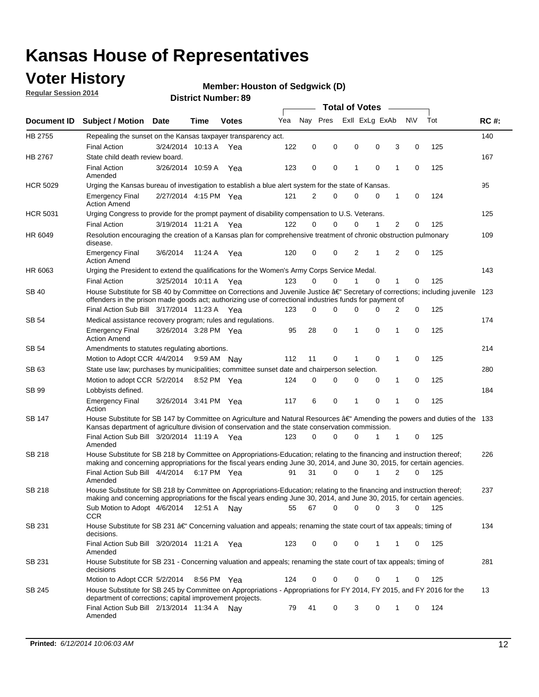## **Voter History**

**Regular Session 2014**

#### **Member: Houston of Sedgwick (D)**

|                 |                                                                                                                                                                                                                                      |                       |             |              |     | <b>Total of Votes</b> |          |   |                |             |                          |             |     |             |  |  |  |  |  |  |
|-----------------|--------------------------------------------------------------------------------------------------------------------------------------------------------------------------------------------------------------------------------------|-----------------------|-------------|--------------|-----|-----------------------|----------|---|----------------|-------------|--------------------------|-------------|-----|-------------|--|--|--|--|--|--|
| Document ID     | <b>Subject / Motion Date</b>                                                                                                                                                                                                         |                       | Time        | <b>Votes</b> | Yea | Nay Pres              |          |   | Exll ExLg ExAb |             |                          | <b>NV</b>   | Tot | <b>RC#:</b> |  |  |  |  |  |  |
| HB 2755         | Repealing the sunset on the Kansas taxpayer transparency act.                                                                                                                                                                        |                       |             |              |     |                       |          |   |                |             |                          |             |     | 140         |  |  |  |  |  |  |
|                 | <b>Final Action</b>                                                                                                                                                                                                                  | 3/24/2014 10:13 A     |             | Yea          | 122 | 0                     | 0        |   | 0              | 0           | 3                        | 0           | 125 |             |  |  |  |  |  |  |
| HB 2767         | State child death review board.                                                                                                                                                                                                      |                       |             |              |     |                       |          |   |                |             |                          |             |     | 167         |  |  |  |  |  |  |
|                 | <b>Final Action</b><br>Amended                                                                                                                                                                                                       | 3/26/2014 10:59 A     |             | Yea          | 123 | 0                     | 0        | 1 |                | $\mathbf 0$ | 1                        | 0           | 125 |             |  |  |  |  |  |  |
| <b>HCR 5029</b> | Urging the Kansas bureau of investigation to establish a blue alert system for the state of Kansas.                                                                                                                                  |                       |             |              |     |                       |          |   |                |             |                          |             |     | 95          |  |  |  |  |  |  |
|                 | <b>Emergency Final</b><br><b>Action Amend</b>                                                                                                                                                                                        | 2/27/2014 4:15 PM Yea |             |              | 121 | $\overline{2}$        | 0        |   | 0              | $\mathbf 0$ | 1                        | 0           | 124 |             |  |  |  |  |  |  |
| <b>HCR 5031</b> | Urging Congress to provide for the prompt payment of disability compensation to U.S. Veterans.                                                                                                                                       |                       |             |              |     |                       |          |   |                |             |                          |             |     | 125         |  |  |  |  |  |  |
|                 | <b>Final Action</b>                                                                                                                                                                                                                  | 3/19/2014 11:21 A     |             | Yea          | 122 | $\Omega$              | 0        |   | 0              | 1           | 2                        | 0           | 125 |             |  |  |  |  |  |  |
| HR 6049         | Resolution encouraging the creation of a Kansas plan for comprehensive treatment of chronic obstruction pulmonary<br>disease.                                                                                                        |                       |             |              |     |                       |          |   |                |             |                          |             |     | 109         |  |  |  |  |  |  |
|                 | <b>Emergency Final</b><br><b>Action Amend</b>                                                                                                                                                                                        | 3/6/2014              | 11:24 A     | Yea          | 120 | 0                     | 0        |   | 2              | 1           | $\overline{2}$           | $\mathbf 0$ | 125 |             |  |  |  |  |  |  |
| HR 6063         | Urging the President to extend the qualifications for the Women's Army Corps Service Medal.                                                                                                                                          |                       |             |              |     |                       |          |   |                |             |                          |             | 143 |             |  |  |  |  |  |  |
|                 | <b>Final Action</b>                                                                                                                                                                                                                  | 3/25/2014 10:11 A Yea |             |              | 123 | $\Omega$              | $\Omega$ |   | 1              | $\Omega$    | $\mathbf{1}$<br>125<br>0 |             |     |             |  |  |  |  |  |  |
| SB 40           | House Substitute for SB 40 by Committee on Corrections and Juvenile Justice †Secretary of corrections; including juvenile<br>offenders in the prison made goods act; authorizing use of correctional industries funds for payment of |                       |             |              |     |                       |          |   |                |             |                          |             | 123 |             |  |  |  |  |  |  |
|                 | Final Action Sub Bill 3/17/2014 11:23 A Yea                                                                                                                                                                                          |                       |             |              | 123 | 0                     | 0        |   | 0              | $\Omega$    | 2                        | $\mathbf 0$ | 125 |             |  |  |  |  |  |  |
| <b>SB 54</b>    | Medical assistance recovery program; rules and regulations.                                                                                                                                                                          |                       |             |              |     |                       |          |   |                |             |                          |             |     | 174         |  |  |  |  |  |  |
|                 | <b>Emergency Final</b><br><b>Action Amend</b>                                                                                                                                                                                        | 3/26/2014 3:28 PM Yea |             |              | 95  | 28                    | 0        | 1 |                | $\mathbf 0$ | 1                        | 0           | 125 |             |  |  |  |  |  |  |
| <b>SB 54</b>    | Amendments to statutes regulating abortions.                                                                                                                                                                                         |                       |             |              |     |                       |          |   |                |             |                          |             |     | 214         |  |  |  |  |  |  |
|                 | Motion to Adopt CCR 4/4/2014                                                                                                                                                                                                         |                       | 9:59 AM Nay |              | 112 | 11                    | 0        | 1 |                | 0           | 1                        | 0           | 125 |             |  |  |  |  |  |  |
| SB 63           | State use law; purchases by municipalities; committee sunset date and chairperson selection.                                                                                                                                         |                       |             |              |     |                       |          |   |                |             |                          | 280         |     |             |  |  |  |  |  |  |
|                 | Motion to adopt CCR 5/2/2014                                                                                                                                                                                                         |                       | 8:52 PM Yea |              | 124 | 0                     | 0        |   | 0              | 0           | 1                        | 0           | 125 |             |  |  |  |  |  |  |
| SB 99           | Lobbyists defined.                                                                                                                                                                                                                   |                       |             |              |     |                       |          |   |                |             |                          |             |     | 184         |  |  |  |  |  |  |
|                 | <b>Emergency Final</b><br>Action                                                                                                                                                                                                     | 3/26/2014 3:41 PM Yea |             |              | 117 | 6                     | 0        | 1 |                | $\mathbf 0$ | 1                        | 0           | 125 |             |  |  |  |  |  |  |
| SB 147          | House Substitute for SB 147 by Committee on Agriculture and Natural Resources †Amending the powers and duties of the 133<br>Kansas department of agriculture division of conservation and the state conservation commission.         |                       |             |              |     |                       |          |   |                |             |                          |             |     |             |  |  |  |  |  |  |
|                 | Final Action Sub Bill 3/20/2014 11:19 A Yea<br>Amended                                                                                                                                                                               |                       |             |              | 123 | 0                     | 0        |   | 0              | 1           | 1                        | 0           | 125 |             |  |  |  |  |  |  |
| <b>SB 218</b>   | House Substitute for SB 218 by Committee on Appropriations-Education; relating to the financing and instruction thereof;                                                                                                             |                       |             |              |     |                       |          |   |                |             |                          |             |     | 226         |  |  |  |  |  |  |
|                 | making and concerning appropriations for the fiscal years ending June 30, 2014, and June 30, 2015, for certain agencies.<br>Final Action Sub Bill 4/4/2014 6:17 PM Yea                                                               |                       |             |              | 91  | 31                    | 0        |   | 0              | 1           | 2                        | $\Omega$    | 125 |             |  |  |  |  |  |  |
|                 | Amended                                                                                                                                                                                                                              |                       |             |              |     |                       |          |   |                |             |                          |             |     |             |  |  |  |  |  |  |
| <b>SB 218</b>   | House Substitute for SB 218 by Committee on Appropriations-Education; relating to the financing and instruction thereof;                                                                                                             |                       |             |              |     |                       |          |   |                |             |                          |             |     | 237         |  |  |  |  |  |  |
|                 | making and concerning appropriations for the fiscal years ending June 30, 2014, and June 30, 2015, for certain agencies.                                                                                                             |                       |             |              |     |                       |          |   |                |             |                          |             |     |             |  |  |  |  |  |  |
|                 | Sub Motion to Adopt 4/6/2014 12:51 A Nay                                                                                                                                                                                             |                       |             |              | 55  | 67                    | 0        |   | 0              | 0           | 3                        | 0           | 125 |             |  |  |  |  |  |  |
| SB 231          | <b>CCR</b><br>House Substitute for SB 231 â€' Concerning valuation and appeals; renaming the state court of tax appeals; timing of<br>decisions.                                                                                     |                       |             |              |     |                       |          |   |                |             |                          |             |     | 134         |  |  |  |  |  |  |
|                 | Final Action Sub Bill 3/20/2014 11:21 A Yea                                                                                                                                                                                          |                       |             |              | 123 | 0                     | 0        |   | 0              | 1           | 1                        | 0           | 125 |             |  |  |  |  |  |  |
|                 | Amended                                                                                                                                                                                                                              |                       |             |              |     |                       |          |   |                |             |                          |             |     |             |  |  |  |  |  |  |
| SB 231          | House Substitute for SB 231 - Concerning valuation and appeals; renaming the state court of tax appeals; timing of<br>decisions                                                                                                      |                       |             |              |     |                       |          |   |                |             |                          |             |     | 281         |  |  |  |  |  |  |
|                 | Motion to Adopt CCR 5/2/2014 8:56 PM Yea                                                                                                                                                                                             |                       |             |              | 124 | 0                     | 0        |   | 0              | $\mathbf 0$ | 1                        | 0           | 125 |             |  |  |  |  |  |  |
| SB 245          | House Substitute for SB 245 by Committee on Appropriations - Appropriations for FY 2014, FY 2015, and FY 2016 for the<br>department of corrections; capital improvement projects.                                                    |                       |             |              |     |                       |          |   |                |             |                          |             |     | 13          |  |  |  |  |  |  |
|                 | Final Action Sub Bill 2/13/2014 11:34 A<br>Amended                                                                                                                                                                                   |                       |             | Nav          | 79  | 41                    | 0        |   | 3              | 0           | 1                        | 0           | 124 |             |  |  |  |  |  |  |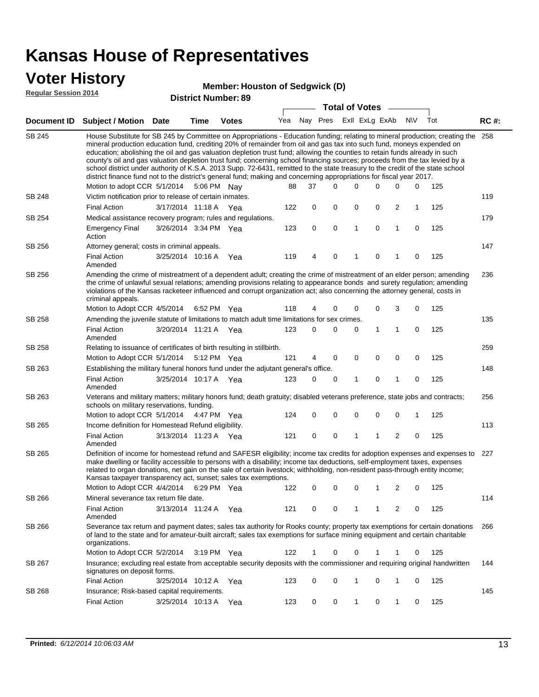### **Voter History**

#### **Member: Houston of Sedgwick (D)**

**Regular Session 2014**

|               |                                                                                                                                                                                                                                                                                                                                                                                                                                                                                                                                                                                                                                                                                                                                                                               |                       |      |                       |     |          |          | <b>Total of Votes</b> |              |                |             |     |             |  |  |  |  |
|---------------|-------------------------------------------------------------------------------------------------------------------------------------------------------------------------------------------------------------------------------------------------------------------------------------------------------------------------------------------------------------------------------------------------------------------------------------------------------------------------------------------------------------------------------------------------------------------------------------------------------------------------------------------------------------------------------------------------------------------------------------------------------------------------------|-----------------------|------|-----------------------|-----|----------|----------|-----------------------|--------------|----------------|-------------|-----|-------------|--|--|--|--|
|               | Document ID Subject / Motion Date                                                                                                                                                                                                                                                                                                                                                                                                                                                                                                                                                                                                                                                                                                                                             |                       | Time | <b>Votes</b>          | Yea | Nay Pres |          | Exll ExLg ExAb        |              |                | <b>NV</b>   | Tot | <b>RC#:</b> |  |  |  |  |
| <b>SB 245</b> | House Substitute for SB 245 by Committee on Appropriations - Education funding; relating to mineral production; creating the<br>mineral production education fund, crediting 20% of remainder from oil and gas tax into such fund, moneys expended on<br>education; abolishing the oil and gas valuation depletion trust fund; allowing the counties to retain funds already in such<br>county's oil and gas valuation depletion trust fund; concerning school financing sources; proceeds from the tax levied by a<br>school district under authority of K.S.A. 2013 Supp. 72-6431, remitted to the state treasury to the credit of the state school<br>district finance fund not to the district's general fund; making and concerning appropriations for fiscal year 2017. |                       |      |                       |     |          |          |                       |              |                |             |     | 258         |  |  |  |  |
|               | Motion to adopt CCR 5/1/2014 5:06 PM Nay                                                                                                                                                                                                                                                                                                                                                                                                                                                                                                                                                                                                                                                                                                                                      |                       |      |                       | 88  | 37       | $\Omega$ | 0                     | 0            | 0              | 0           | 125 |             |  |  |  |  |
| <b>SB 248</b> | Victim notification prior to release of certain inmates.                                                                                                                                                                                                                                                                                                                                                                                                                                                                                                                                                                                                                                                                                                                      |                       |      |                       |     |          |          |                       |              |                |             |     | 119         |  |  |  |  |
|               | <b>Final Action</b>                                                                                                                                                                                                                                                                                                                                                                                                                                                                                                                                                                                                                                                                                                                                                           | 3/17/2014 11:18 A Yea |      |                       | 122 | 0        | 0        | 0                     | 0            | 2              | 1           | 125 |             |  |  |  |  |
| SB 254        | Medical assistance recovery program; rules and regulations.                                                                                                                                                                                                                                                                                                                                                                                                                                                                                                                                                                                                                                                                                                                   |                       |      |                       |     |          |          |                       |              |                |             |     | 179         |  |  |  |  |
|               | <b>Emergency Final</b><br>Action                                                                                                                                                                                                                                                                                                                                                                                                                                                                                                                                                                                                                                                                                                                                              | 3/26/2014 3:34 PM Yea |      |                       | 123 | 0        | 0        | $\mathbf{1}$          | 0            | 1              | 0           | 125 |             |  |  |  |  |
| SB 256        | Attorney general; costs in criminal appeals.                                                                                                                                                                                                                                                                                                                                                                                                                                                                                                                                                                                                                                                                                                                                  |                       |      |                       |     |          |          |                       |              |                |             |     | 147         |  |  |  |  |
|               | <b>Final Action</b><br>Amended                                                                                                                                                                                                                                                                                                                                                                                                                                                                                                                                                                                                                                                                                                                                                | 3/25/2014 10:16 A     |      | Yea                   | 119 | 4        | 0        | 1                     | 0            | 1              | 0           | 125 |             |  |  |  |  |
| SB 256        | Amending the crime of mistreatment of a dependent adult; creating the crime of mistreatment of an elder person; amending<br>the crime of unlawful sexual relations; amending provisions relating to appearance bonds and surety regulation; amending<br>violations of the Kansas racketeer influenced and corrupt organization act; also concerning the attorney general, costs in<br>criminal appeals.                                                                                                                                                                                                                                                                                                                                                                       |                       |      |                       |     |          |          |                       |              |                |             |     | 236         |  |  |  |  |
|               | Motion to Adopt CCR 4/5/2014                                                                                                                                                                                                                                                                                                                                                                                                                                                                                                                                                                                                                                                                                                                                                  |                       |      | 6:52 PM Yea           | 118 | 4        | 0        | 0                     | 0            | 3              | 0           | 125 |             |  |  |  |  |
| SB 258        | Amending the juvenile statute of limitations to match adult time limitations for sex crimes.                                                                                                                                                                                                                                                                                                                                                                                                                                                                                                                                                                                                                                                                                  |                       |      |                       |     |          |          |                       |              |                |             |     | 135         |  |  |  |  |
|               | <b>Final Action</b><br>Amended                                                                                                                                                                                                                                                                                                                                                                                                                                                                                                                                                                                                                                                                                                                                                | 3/20/2014 11:21 A Yea |      |                       | 123 | 0        | 0        | 0                     | $\mathbf{1}$ | 1              | 0           | 125 |             |  |  |  |  |
| SB 258        | Relating to issuance of certificates of birth resulting in stillbirth.                                                                                                                                                                                                                                                                                                                                                                                                                                                                                                                                                                                                                                                                                                        |                       |      |                       |     |          |          |                       |              |                |             |     | 259         |  |  |  |  |
|               | Motion to Adopt CCR 5/1/2014                                                                                                                                                                                                                                                                                                                                                                                                                                                                                                                                                                                                                                                                                                                                                  |                       |      | 5:12 PM Yea           | 121 | 4        | 0        | 0                     | $\mathbf 0$  | 0              | 0           | 125 |             |  |  |  |  |
| SB 263        | Establishing the military funeral honors fund under the adjutant general's office.                                                                                                                                                                                                                                                                                                                                                                                                                                                                                                                                                                                                                                                                                            |                       |      |                       |     |          |          |                       |              |                |             |     | 148         |  |  |  |  |
|               | <b>Final Action</b><br>Amended                                                                                                                                                                                                                                                                                                                                                                                                                                                                                                                                                                                                                                                                                                                                                | 3/25/2014 10:17 A Yea |      |                       | 123 | 0        | 0        | 1                     | 0            | 1              | 0           | 125 |             |  |  |  |  |
| SB 263        | Veterans and military matters; military honors fund; death gratuity; disabled veterans preference, state jobs and contracts;<br>schools on military reservations, funding.                                                                                                                                                                                                                                                                                                                                                                                                                                                                                                                                                                                                    |                       |      |                       |     |          |          |                       |              |                |             |     | 256         |  |  |  |  |
|               | Motion to adopt CCR 5/1/2014                                                                                                                                                                                                                                                                                                                                                                                                                                                                                                                                                                                                                                                                                                                                                  |                       |      | 4:47 PM Yea           | 124 | 0        | 0        | 0                     | $\mathbf 0$  | 0              | 1           | 125 |             |  |  |  |  |
| SB 265        | Income definition for Homestead Refund eligibility.                                                                                                                                                                                                                                                                                                                                                                                                                                                                                                                                                                                                                                                                                                                           |                       |      |                       |     |          |          |                       |              |                |             |     | 113         |  |  |  |  |
|               | <b>Final Action</b><br>Amended                                                                                                                                                                                                                                                                                                                                                                                                                                                                                                                                                                                                                                                                                                                                                | 3/13/2014 11:23 A Yea |      |                       | 121 | 0        | 0        | 1                     | 1            | $\overline{2}$ | $\mathbf 0$ | 125 |             |  |  |  |  |
| SB 265        | Definition of income for homestead refund and SAFESR eligibility; income tax credits for adoption expenses and expenses to<br>make dwelling or facility accessible to persons with a disability; income tax deductions, self-employment taxes, expenses<br>related to organ donations, net gain on the sale of certain livestock; withholding, non-resident pass-through entity income;<br>Kansas taxpayer transparency act, sunset; sales tax exemptions.<br>Motion to Adopt CCR 4/4/2014 6:29 PM Yea                                                                                                                                                                                                                                                                        |                       |      |                       | 122 | 0        | 0        | 0                     | 1            | 2              | 0           | 125 | 227         |  |  |  |  |
| SB 266        | Mineral severance tax return file date.                                                                                                                                                                                                                                                                                                                                                                                                                                                                                                                                                                                                                                                                                                                                       |                       |      |                       |     |          |          |                       |              |                |             |     | 114         |  |  |  |  |
|               | <b>Final Action</b>                                                                                                                                                                                                                                                                                                                                                                                                                                                                                                                                                                                                                                                                                                                                                           | 3/13/2014 11:24 A Yea |      |                       | 121 | 0        | 0        | 1                     | 1            | 2              | 0           | 125 |             |  |  |  |  |
| SB 266        | Amended<br>Severance tax return and payment dates; sales tax authority for Rooks county; property tax exemptions for certain donations<br>of land to the state and for amateur-built aircraft; sales tax exemptions for surface mining equipment and certain charitable<br>organizations.                                                                                                                                                                                                                                                                                                                                                                                                                                                                                     |                       |      |                       |     |          |          |                       |              |                |             |     | 266         |  |  |  |  |
|               | Motion to Adopt CCR 5/2/2014                                                                                                                                                                                                                                                                                                                                                                                                                                                                                                                                                                                                                                                                                                                                                  |                       |      | $3:19 \text{ PM}$ Yea | 122 | 1        | 0        | 0                     | 1            | 1              | 0           | 125 |             |  |  |  |  |
| SB 267        | Insurance; excluding real estate from acceptable security deposits with the commissioner and requiring original handwritten<br>signatures on deposit forms.                                                                                                                                                                                                                                                                                                                                                                                                                                                                                                                                                                                                                   |                       |      |                       |     |          |          |                       |              |                |             |     | 144         |  |  |  |  |
|               | <b>Final Action</b>                                                                                                                                                                                                                                                                                                                                                                                                                                                                                                                                                                                                                                                                                                                                                           | 3/25/2014 10:12 A Yea |      |                       | 123 | 0        | 0        | 1                     | 0            | 1              | 0           | 125 |             |  |  |  |  |
| SB 268        | Insurance; Risk-based capital requirements.                                                                                                                                                                                                                                                                                                                                                                                                                                                                                                                                                                                                                                                                                                                                   |                       |      |                       |     |          |          |                       |              |                |             |     | 145         |  |  |  |  |
|               | <b>Final Action</b>                                                                                                                                                                                                                                                                                                                                                                                                                                                                                                                                                                                                                                                                                                                                                           | 3/25/2014 10:13 A     |      | Yea                   | 123 | 0        | 0        | $\mathbf{1}$          | 0            | 1              | 0           | 125 |             |  |  |  |  |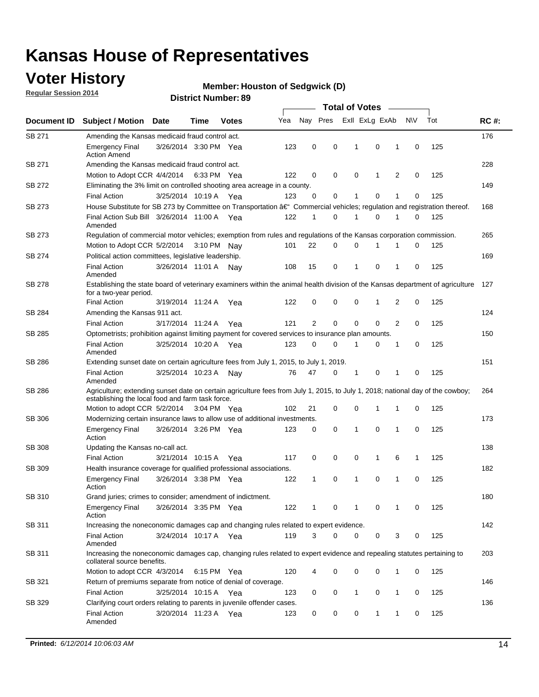## **Voter History**

**Regular Session 2014**

#### **Member: Houston of Sedgwick (D)**

|               |                                                                                                                                                                                    |                       |             |              |     | <b>Total of Votes</b> |          |  |                |              |   |             |     |             |
|---------------|------------------------------------------------------------------------------------------------------------------------------------------------------------------------------------|-----------------------|-------------|--------------|-----|-----------------------|----------|--|----------------|--------------|---|-------------|-----|-------------|
| Document ID   | <b>Subject / Motion</b>                                                                                                                                                            | <b>Date</b>           | Time        | <b>Votes</b> | Yea | Nay Pres              |          |  | Exll ExLg ExAb |              |   | <b>NV</b>   | Tot | <b>RC#:</b> |
| SB 271        | Amending the Kansas medicaid fraud control act.                                                                                                                                    |                       |             |              |     |                       |          |  |                |              |   |             |     | 176         |
|               | <b>Emergency Final</b><br><b>Action Amend</b>                                                                                                                                      | 3/26/2014 3:30 PM Yea |             |              | 123 | 0                     | 0        |  | 1              | $\mathbf 0$  | 1 | $\mathbf 0$ | 125 |             |
| SB 271        | Amending the Kansas medicaid fraud control act.                                                                                                                                    |                       |             |              |     |                       |          |  |                |              |   |             |     | 228         |
|               | Motion to Adopt CCR 4/4/2014 6:33 PM Yea                                                                                                                                           |                       |             |              | 122 | 0                     | 0        |  | $\mathbf 0$    | 1            | 2 | $\mathbf 0$ | 125 |             |
| SB 272        | Eliminating the 3% limit on controlled shooting area acreage in a county.                                                                                                          |                       |             |              |     |                       |          |  |                |              |   |             |     | 149         |
|               | <b>Final Action</b>                                                                                                                                                                | 3/25/2014 10:19 A Yea |             |              | 123 | $\Omega$              | 0        |  | 1              | 0            | 1 | $\mathbf 0$ | 125 |             |
| SB 273        | House Substitute for SB 273 by Committee on Transportation †Commercial vehicles; regulation and registration thereof.                                                              |                       |             |              |     |                       |          |  |                |              |   |             |     | 168         |
|               | Final Action Sub Bill 3/26/2014 11:00 A Yea<br>Amended                                                                                                                             |                       |             |              | 122 | 1                     | 0        |  | 1              | 0            | 1 | 0           | 125 |             |
| SB 273        | Regulation of commercial motor vehicles; exemption from rules and regulations of the Kansas corporation commission.                                                                |                       |             |              |     |                       |          |  |                |              |   |             |     | 265         |
|               | Motion to Adopt CCR 5/2/2014                                                                                                                                                       |                       | 3:10 PM Nav |              | 101 | 22                    | 0        |  | 0              |              |   | 0           | 125 |             |
| SB 274        | Political action committees, legislative leadership.                                                                                                                               |                       |             |              |     |                       |          |  |                |              |   |             | 169 |             |
|               | <b>Final Action</b><br>Amended                                                                                                                                                     | 3/26/2014 11:01 A Nav |             |              | 108 | 15                    | 0        |  | 1              | 0            | 1 | 0           | 125 |             |
| <b>SB 278</b> | Establishing the state board of veterinary examiners within the animal health division of the Kansas department of agriculture<br>for a two-year period.                           |                       |             |              |     |                       |          |  |                |              |   |             |     | 127         |
|               | <b>Final Action</b>                                                                                                                                                                | 3/19/2014 11:24 A     |             | Yea          | 122 | 0                     | 0        |  | $\mathbf 0$    | 1            | 2 | 0           | 125 |             |
| SB 284        | Amending the Kansas 911 act.                                                                                                                                                       |                       |             |              |     |                       |          |  |                |              |   |             |     | 124         |
|               | <b>Final Action</b>                                                                                                                                                                | 3/17/2014 11:24 A     |             | Yea          | 121 | $\overline{2}$        | 0        |  | 0              | 0            | 2 | 0           | 125 |             |
| SB 285        | Optometrists; prohibition against limiting payment for covered services to insurance plan amounts.                                                                                 |                       |             |              |     |                       |          |  |                |              |   |             |     | 150         |
|               | <b>Final Action</b><br>Amended                                                                                                                                                     | 3/25/2014 10:20 A Yea |             |              | 123 | 0                     | 0        |  | 1              | 0            | 1 | 0           | 125 |             |
| SB 286        | Extending sunset date on certain agriculture fees from July 1, 2015, to July 1, 2019.                                                                                              |                       |             |              |     |                       |          |  |                |              |   |             |     | 151         |
|               | <b>Final Action</b><br>Amended                                                                                                                                                     | 3/25/2014 10:23 A     |             | Nav          | 76  | 47                    | 0        |  | 1              | 0            | 1 | $\mathbf 0$ | 125 |             |
| SB 286        | Agriculture; extending sunset date on certain agriculture fees from July 1, 2015, to July 1, 2018; national day of the cowboy;<br>establishing the local food and farm task force. |                       |             |              |     |                       |          |  |                |              |   |             |     | 264         |
|               | Motion to adopt CCR 5/2/2014 3:04 PM Yea                                                                                                                                           |                       |             |              | 102 | 21                    | 0        |  | 0              | 1            | 1 | 0           | 125 |             |
| SB 306        | Modernizing certain insurance laws to allow use of additional investments.                                                                                                         |                       |             |              |     |                       |          |  |                |              |   |             |     | 173         |
|               | Emergency Final<br>Action                                                                                                                                                          | 3/26/2014 3:26 PM Yea |             |              | 123 | 0                     | 0        |  | 1              | $\mathbf 0$  | 1 | $\mathbf 0$ | 125 |             |
| <b>SB 308</b> | Updating the Kansas no-call act.                                                                                                                                                   |                       |             |              |     |                       |          |  |                |              |   |             |     | 138         |
|               | <b>Final Action</b>                                                                                                                                                                | 3/21/2014 10:15 A     |             | Yea          | 117 | 0                     | 0        |  | 0              | $\mathbf{1}$ | 6 | 1           | 125 |             |
| SB 309        | Health insurance coverage for qualified professional associations.                                                                                                                 |                       |             |              |     |                       |          |  |                |              |   |             |     | 182         |
|               | <b>Emergency Final</b><br>Action                                                                                                                                                   | 3/26/2014 3:38 PM Yea |             |              | 122 | 1                     | 0        |  | $\mathbf{1}$   | 0            | 1 | $\Omega$    | 125 |             |
| SB 310        | Grand juries; crimes to consider; amendment of indictment.                                                                                                                         |                       |             |              |     |                       |          |  |                |              |   |             |     | 180         |
|               | <b>Emergency Final</b><br>Action                                                                                                                                                   | 3/26/2014 3:35 PM Yea |             |              | 122 | 1                     | 0        |  | 1              | 0            | 1 | 0           | 125 |             |
| SB 311        | Increasing the noneconomic damages cap and changing rules related to expert evidence.                                                                                              |                       |             |              |     |                       |          |  |                |              |   |             |     | 142         |
|               | <b>Final Action</b><br>Amended                                                                                                                                                     | 3/24/2014 10:17 A Yea |             |              | 119 | 3                     | $\Omega$ |  | 0              | 0            | 3 | 0           | 125 |             |
| SB 311        | Increasing the noneconomic damages cap, changing rules related to expert evidence and repealing statutes pertaining to<br>collateral source benefits.                              |                       |             |              |     |                       |          |  |                |              |   |             |     | 203         |
|               | Motion to adopt CCR 4/3/2014 6:15 PM Yea                                                                                                                                           |                       |             |              | 120 | 4                     | 0        |  | 0              | 0            | 1 | 0           | 125 |             |
| SB 321        | Return of premiums separate from notice of denial of coverage.                                                                                                                     |                       |             |              |     |                       |          |  |                |              |   |             |     | 146         |
|               | <b>Final Action</b>                                                                                                                                                                | 3/25/2014 10:15 A Yea |             |              | 123 | 0                     | 0        |  | $\mathbf{1}$   | 0            | 1 | 0           | 125 |             |
| SB 329        | Clarifying court orders relating to parents in juvenile offender cases.<br><b>Final Action</b><br>Amended                                                                          | 3/20/2014 11:23 A Yea |             |              | 123 | 0                     | 0        |  | 0              | $\mathbf{1}$ | 1 | 0           | 125 | 136         |
|               |                                                                                                                                                                                    |                       |             |              |     |                       |          |  |                |              |   |             |     |             |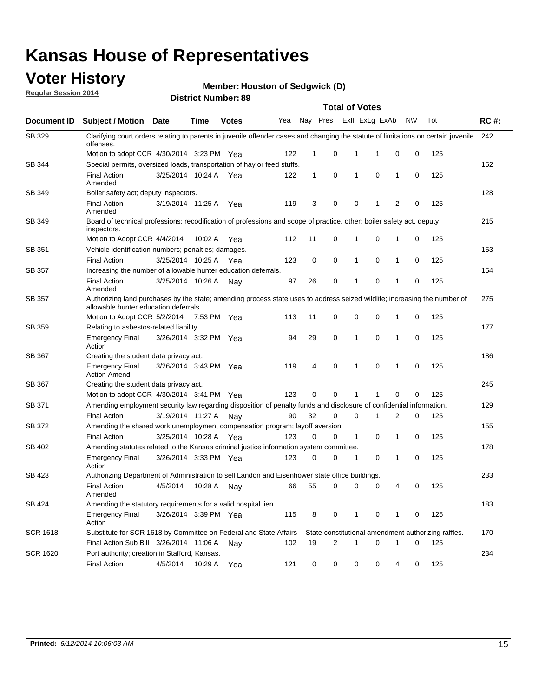### **Voter History**

**Regular Session 2014**

#### **Member: Houston of Sedgwick (D)**

|                 |                                                                                                                                                                    |                       | ul Ituliiwu . |              |     |              |             | <b>Total of Votes</b> |                |                |     |     |             |  |  |  |  |
|-----------------|--------------------------------------------------------------------------------------------------------------------------------------------------------------------|-----------------------|---------------|--------------|-----|--------------|-------------|-----------------------|----------------|----------------|-----|-----|-------------|--|--|--|--|
| Document ID     | Subject / Motion Date                                                                                                                                              |                       | <b>Time</b>   | <b>Votes</b> | Yea | Nay Pres     |             |                       | Exll ExLg ExAb |                | N\V | Tot | <b>RC#:</b> |  |  |  |  |
| SB 329          | Clarifying court orders relating to parents in juvenile offender cases and changing the statute of limitations on certain juvenile<br>offenses.                    |                       |               |              |     |              |             |                       |                |                |     |     | 242         |  |  |  |  |
|                 | Motion to adopt CCR 4/30/2014 3:23 PM Yea                                                                                                                          |                       |               |              | 122 | 1            | 0           | 1                     | 1              | 0              | 0   | 125 |             |  |  |  |  |
| SB 344          | Special permits, oversized loads, transportation of hay or feed stuffs.                                                                                            |                       |               |              |     |              |             |                       |                |                |     |     | 152         |  |  |  |  |
|                 | <b>Final Action</b><br>Amended                                                                                                                                     | 3/25/2014 10:24 A     |               | Yea          | 122 | $\mathbf{1}$ | 0           | 1                     | $\mathbf 0$    | 1              | 0   | 125 |             |  |  |  |  |
| SB 349          | Boiler safety act; deputy inspectors.                                                                                                                              |                       |               |              |     |              |             |                       |                |                |     |     | 128         |  |  |  |  |
|                 | <b>Final Action</b><br>Amended                                                                                                                                     | 3/19/2014 11:25 A     |               | Yea          | 119 | 3            | 0           | 0                     | 1              | $\overline{2}$ | 0   | 125 |             |  |  |  |  |
| SB 349          | Board of technical professions; recodification of professions and scope of practice, other; boiler safety act, deputy<br>inspectors.                               |                       |               |              |     |              |             |                       |                |                |     |     | 215         |  |  |  |  |
|                 | Motion to Adopt CCR 4/4/2014                                                                                                                                       |                       | 10:02 A       | Yea          | 112 | 11           | 0           | 1                     | $\mathbf 0$    | 1              | 0   | 125 |             |  |  |  |  |
| SB 351          | Vehicle identification numbers; penalties; damages.                                                                                                                |                       |               |              |     |              |             |                       |                |                |     |     | 153         |  |  |  |  |
|                 | <b>Final Action</b>                                                                                                                                                | 3/25/2014 10:25 A     |               | Yea          | 123 | 0            | 0           | 1                     | $\mathbf 0$    | 1              | 0   | 125 |             |  |  |  |  |
| SB 357          | Increasing the number of allowable hunter education deferrals.                                                                                                     |                       |               |              |     |              |             |                       |                |                |     |     | 154         |  |  |  |  |
|                 | <b>Final Action</b><br>Amended                                                                                                                                     | 3/25/2014 10:26 A     |               | Nav          | 97  | 26           | 0           | 1                     | $\mathbf 0$    | 1              | 0   | 125 |             |  |  |  |  |
| <b>SB 357</b>   | Authorizing land purchases by the state; amending process state uses to address seized wildlife; increasing the number of<br>allowable hunter education deferrals. |                       |               |              |     |              |             |                       |                |                |     |     | 275         |  |  |  |  |
|                 | Motion to Adopt CCR 5/2/2014                                                                                                                                       |                       | 7:53 PM Yea   |              | 113 | 11           | 0           | 0                     | $\mathbf 0$    | 1              | 0   | 125 |             |  |  |  |  |
| SB 359          | Relating to asbestos-related liability.                                                                                                                            |                       |               |              |     |              |             |                       |                |                |     | 177 |             |  |  |  |  |
|                 | <b>Emergency Final</b><br>Action                                                                                                                                   | 3/26/2014 3:32 PM Yea |               |              | 94  | 29           | 0           | 1                     | $\mathbf 0$    | 1              | 0   | 125 |             |  |  |  |  |
| SB 367          | Creating the student data privacy act.                                                                                                                             |                       |               |              |     |              |             |                       |                |                |     |     | 186         |  |  |  |  |
|                 | <b>Emergency Final</b><br><b>Action Amend</b>                                                                                                                      | 3/26/2014 3:43 PM Yea |               |              | 119 | 4            | $\mathbf 0$ | 1                     | $\mathbf 0$    | 1              | 0   | 125 |             |  |  |  |  |
| SB 367          | Creating the student data privacy act.                                                                                                                             |                       |               |              |     |              |             |                       |                |                |     |     | 245         |  |  |  |  |
|                 | Motion to adopt CCR 4/30/2014 3:41 PM Yea                                                                                                                          |                       |               |              | 123 | 0            | $\Omega$    | 1                     | 1              | 0              | 0   | 125 |             |  |  |  |  |
| SB 371          | Amending employment security law regarding disposition of penalty funds and disclosure of confidential information.                                                |                       |               |              |     |              |             |                       |                |                |     |     | 129         |  |  |  |  |
|                 | <b>Final Action</b>                                                                                                                                                | 3/19/2014 11:27 A     |               | . Nav        | 90  | 32           | $\mathbf 0$ | $\mathbf 0$           | 1              | 2              | 0   | 125 |             |  |  |  |  |
| <b>SB 372</b>   | Amending the shared work unemployment compensation program; layoff aversion.                                                                                       |                       |               |              |     |              |             |                       |                |                |     |     | 155         |  |  |  |  |
|                 | <b>Final Action</b>                                                                                                                                                | 3/25/2014 10:28 A     |               | Yea          | 123 | 0            | 0           | $\mathbf{1}$          | $\mathbf 0$    | 1              | 0   | 125 |             |  |  |  |  |
| SB 402          | Amending statutes related to the Kansas criminal justice information system committee.                                                                             |                       |               |              |     |              |             |                       |                |                |     |     | 178         |  |  |  |  |
|                 | <b>Emergency Final</b><br>Action                                                                                                                                   | 3/26/2014 3:33 PM Yea |               |              | 123 | 0            | 0           | 1                     | 0              | 1              | 0   | 125 |             |  |  |  |  |
| SB 423          | Authorizing Department of Administration to sell Landon and Eisenhower state office buildings.                                                                     |                       |               |              |     |              |             |                       |                |                |     |     | 233         |  |  |  |  |
|                 | <b>Final Action</b><br>Amended                                                                                                                                     | 4/5/2014              | 10:28 A       | Nay          | 66  | 55           | 0           | 0                     | 0              | 4              | 0   | 125 |             |  |  |  |  |
| SB 424          | Amending the statutory requirements for a valid hospital lien.                                                                                                     |                       |               |              |     |              |             |                       |                |                |     |     | 183         |  |  |  |  |
|                 | <b>Emergency Final</b><br>Action                                                                                                                                   | 3/26/2014 3:39 PM Yea |               |              | 115 | 8            | 0           | 1                     | 0              | 1              | 0   | 125 |             |  |  |  |  |
| <b>SCR 1618</b> | Substitute for SCR 1618 by Committee on Federal and State Affairs -- State constitutional amendment authorizing raffles.                                           |                       |               |              |     |              |             |                       |                |                |     |     | 170         |  |  |  |  |
|                 | Final Action Sub Bill 3/26/2014 11:06 A                                                                                                                            |                       |               | Nav          | 102 | 19           | 2           | 1                     | $\mathbf 0$    | 1              | 0   | 125 |             |  |  |  |  |
| <b>SCR 1620</b> | Port authority; creation in Stafford, Kansas.                                                                                                                      |                       |               |              |     |              |             |                       |                |                |     |     | 234         |  |  |  |  |
|                 | <b>Final Action</b>                                                                                                                                                | 4/5/2014              | 10:29 A Yea   |              | 121 | 0            | 0           | 0                     | 0              | 4              | 0   | 125 |             |  |  |  |  |